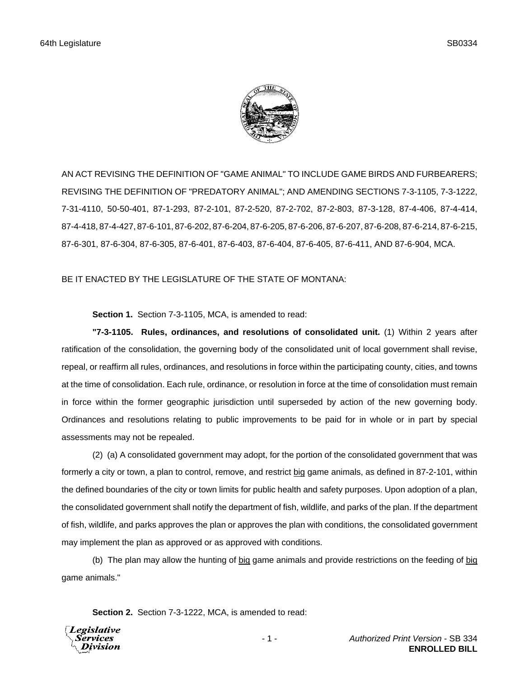

AN ACT REVISING THE DEFINITION OF "GAME ANIMAL" TO INCLUDE GAME BIRDS AND FURBEARERS; REVISING THE DEFINITION OF "PREDATORY ANIMAL"; AND AMENDING SECTIONS 7-3-1105, 7-3-1222, 7-31-4110, 50-50-401, 87-1-293, 87-2-101, 87-2-520, 87-2-702, 87-2-803, 87-3-128, 87-4-406, 87-4-414, 87-4-418, 87-4-427, 87-6-101, 87-6-202, 87-6-204, 87-6-205, 87-6-206, 87-6-207, 87-6-208, 87-6-214, 87-6-215, 87-6-301, 87-6-304, 87-6-305, 87-6-401, 87-6-403, 87-6-404, 87-6-405, 87-6-411, AND 87-6-904, MCA.

# BE IT ENACTED BY THE LEGISLATURE OF THE STATE OF MONTANA:

## **Section 1.** Section 7-3-1105, MCA, is amended to read:

**"7-3-1105. Rules, ordinances, and resolutions of consolidated unit.** (1) Within 2 years after ratification of the consolidation, the governing body of the consolidated unit of local government shall revise, repeal, or reaffirm all rules, ordinances, and resolutions in force within the participating county, cities, and towns at the time of consolidation. Each rule, ordinance, or resolution in force at the time of consolidation must remain in force within the former geographic jurisdiction until superseded by action of the new governing body. Ordinances and resolutions relating to public improvements to be paid for in whole or in part by special assessments may not be repealed.

(2) (a) A consolidated government may adopt, for the portion of the consolidated government that was formerly a city or town, a plan to control, remove, and restrict big game animals, as defined in 87-2-101, within the defined boundaries of the city or town limits for public health and safety purposes. Upon adoption of a plan, the consolidated government shall notify the department of fish, wildlife, and parks of the plan. If the department of fish, wildlife, and parks approves the plan or approves the plan with conditions, the consolidated government may implement the plan as approved or as approved with conditions.

(b) The plan may allow the hunting of big game animals and provide restrictions on the feeding of big game animals."

**Section 2.** Section 7-3-1222, MCA, is amended to read:

Legislative *Services* Division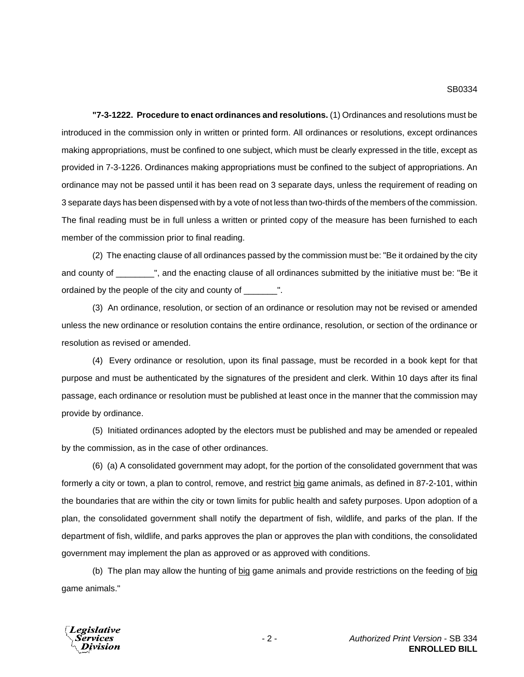**"7-3-1222. Procedure to enact ordinances and resolutions.** (1) Ordinances and resolutions must be introduced in the commission only in written or printed form. All ordinances or resolutions, except ordinances making appropriations, must be confined to one subject, which must be clearly expressed in the title, except as provided in 7-3-1226. Ordinances making appropriations must be confined to the subject of appropriations. An ordinance may not be passed until it has been read on 3 separate days, unless the requirement of reading on 3 separate days has been dispensed with by a vote of not less than two-thirds of the members of the commission. The final reading must be in full unless a written or printed copy of the measure has been furnished to each member of the commission prior to final reading.

(2) The enacting clause of all ordinances passed by the commission must be: "Be it ordained by the city and county of \_\_\_\_\_\_\_\_", and the enacting clause of all ordinances submitted by the initiative must be: "Be it ordained by the people of the city and county of \_\_\_\_\_\_\_".

(3) An ordinance, resolution, or section of an ordinance or resolution may not be revised or amended unless the new ordinance or resolution contains the entire ordinance, resolution, or section of the ordinance or resolution as revised or amended.

(4) Every ordinance or resolution, upon its final passage, must be recorded in a book kept for that purpose and must be authenticated by the signatures of the president and clerk. Within 10 days after its final passage, each ordinance or resolution must be published at least once in the manner that the commission may provide by ordinance.

(5) Initiated ordinances adopted by the electors must be published and may be amended or repealed by the commission, as in the case of other ordinances.

(6) (a) A consolidated government may adopt, for the portion of the consolidated government that was formerly a city or town, a plan to control, remove, and restrict big game animals, as defined in 87-2-101, within the boundaries that are within the city or town limits for public health and safety purposes. Upon adoption of a plan, the consolidated government shall notify the department of fish, wildlife, and parks of the plan. If the department of fish, wildlife, and parks approves the plan or approves the plan with conditions, the consolidated government may implement the plan as approved or as approved with conditions.

(b) The plan may allow the hunting of big game animals and provide restrictions on the feeding of big game animals."

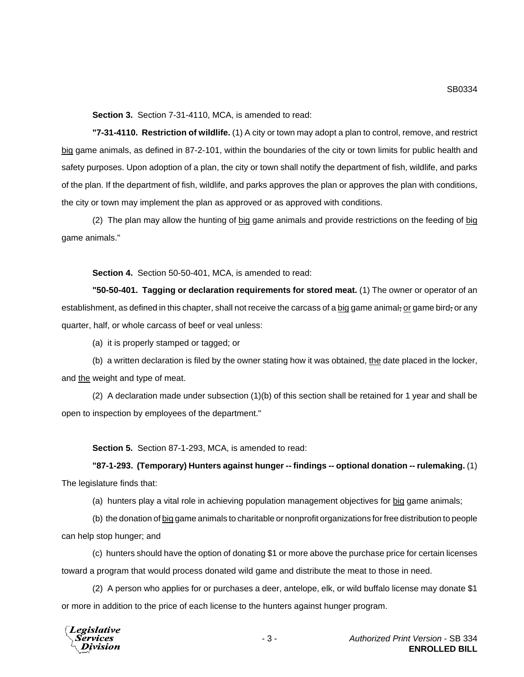**Section 3.** Section 7-31-4110, MCA, is amended to read:

**"7-31-4110. Restriction of wildlife.** (1) A city or town may adopt a plan to control, remove, and restrict big game animals, as defined in 87-2-101, within the boundaries of the city or town limits for public health and safety purposes. Upon adoption of a plan, the city or town shall notify the department of fish, wildlife, and parks of the plan. If the department of fish, wildlife, and parks approves the plan or approves the plan with conditions, the city or town may implement the plan as approved or as approved with conditions.

(2) The plan may allow the hunting of big game animals and provide restrictions on the feeding of big game animals."

**Section 4.** Section 50-50-401, MCA, is amended to read:

**"50-50-401. Tagging or declaration requirements for stored meat.** (1) The owner or operator of an establishment, as defined in this chapter, shall not receive the carcass of a big game animal, or game bird, or any quarter, half, or whole carcass of beef or veal unless:

(a) it is properly stamped or tagged; or

(b) a written declaration is filed by the owner stating how it was obtained, the date placed in the locker, and the weight and type of meat.

(2) A declaration made under subsection (1)(b) of this section shall be retained for 1 year and shall be open to inspection by employees of the department."

**Section 5.** Section 87-1-293, MCA, is amended to read:

**"87-1-293. (Temporary) Hunters against hunger -- findings -- optional donation -- rulemaking.** (1) The legislature finds that:

(a) hunters play a vital role in achieving population management objectives for big game animals;

(b) the donation of big game animals to charitable or nonprofit organizations for free distribution to people can help stop hunger; and

(c) hunters should have the option of donating \$1 or more above the purchase price for certain licenses toward a program that would process donated wild game and distribute the meat to those in need.

(2) A person who applies for or purchases a deer, antelope, elk, or wild buffalo license may donate \$1 or more in addition to the price of each license to the hunters against hunger program.

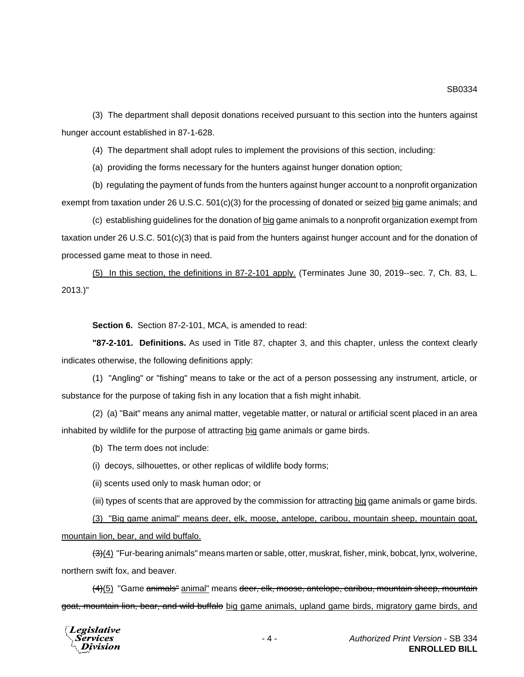(3) The department shall deposit donations received pursuant to this section into the hunters against hunger account established in 87-1-628.

(4) The department shall adopt rules to implement the provisions of this section, including:

(a) providing the forms necessary for the hunters against hunger donation option;

(b) regulating the payment of funds from the hunters against hunger account to a nonprofit organization exempt from taxation under 26 U.S.C. 501(c)(3) for the processing of donated or seized big game animals; and

(c) establishing guidelines for the donation of big game animals to a nonprofit organization exempt from taxation under 26 U.S.C. 501(c)(3) that is paid from the hunters against hunger account and for the donation of processed game meat to those in need.

(5) In this section, the definitions in 87-2-101 apply. (Terminates June 30, 2019--sec. 7, Ch. 83, L. 2013.)"

**Section 6.** Section 87-2-101, MCA, is amended to read:

**"87-2-101. Definitions.** As used in Title 87, chapter 3, and this chapter, unless the context clearly indicates otherwise, the following definitions apply:

(1) "Angling" or "fishing" means to take or the act of a person possessing any instrument, article, or substance for the purpose of taking fish in any location that a fish might inhabit.

(2) (a) "Bait" means any animal matter, vegetable matter, or natural or artificial scent placed in an area inhabited by wildlife for the purpose of attracting big game animals or game birds.

(b) The term does not include:

(i) decoys, silhouettes, or other replicas of wildlife body forms;

(ii) scents used only to mask human odor; or

(iii) types of scents that are approved by the commission for attracting big game animals or game birds.

(3) "Big game animal" means deer, elk, moose, antelope, caribou, mountain sheep, mountain goat, mountain lion, bear, and wild buffalo.

(3)(4) "Fur-bearing animals" means marten or sable, otter, muskrat, fisher, mink, bobcat, lynx, wolverine, northern swift fox, and beaver.

(4)(5) "Game animals" animal" means deer, elk, moose, antelope, caribou, mountain sheep, mountain goat, mountain lion, bear, and wild buffalo big game animals, upland game birds, migratory game birds, and

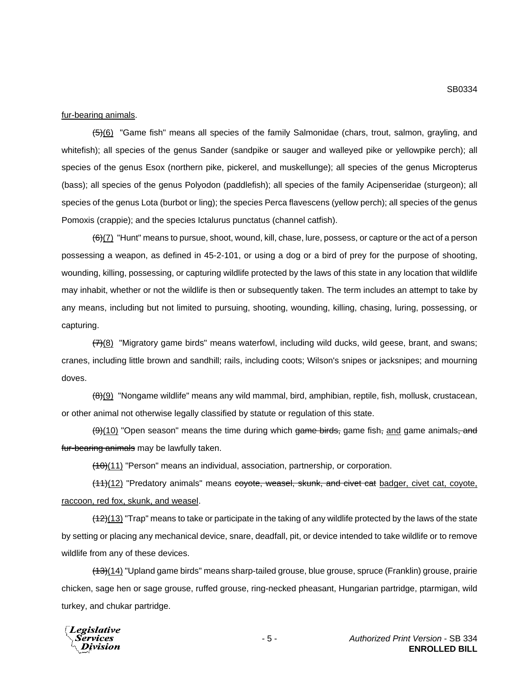fur-bearing animals.

(5)(6) "Game fish" means all species of the family Salmonidae (chars, trout, salmon, grayling, and whitefish); all species of the genus Sander (sandpike or sauger and walleyed pike or yellowpike perch); all species of the genus Esox (northern pike, pickerel, and muskellunge); all species of the genus Micropterus (bass); all species of the genus Polyodon (paddlefish); all species of the family Acipenseridae (sturgeon); all species of the genus Lota (burbot or ling); the species Perca flavescens (yellow perch); all species of the genus Pomoxis (crappie); and the species Ictalurus punctatus (channel catfish).

 $(6)$ (7) "Hunt" means to pursue, shoot, wound, kill, chase, lure, possess, or capture or the act of a person possessing a weapon, as defined in 45-2-101, or using a dog or a bird of prey for the purpose of shooting, wounding, killing, possessing, or capturing wildlife protected by the laws of this state in any location that wildlife may inhabit, whether or not the wildlife is then or subsequently taken. The term includes an attempt to take by any means, including but not limited to pursuing, shooting, wounding, killing, chasing, luring, possessing, or capturing.

 $(7)(8)$  "Migratory game birds" means waterfowl, including wild ducks, wild geese, brant, and swans; cranes, including little brown and sandhill; rails, including coots; Wilson's snipes or jacksnipes; and mourning doves.

 $(8)(9)$  "Nongame wildlife" means any wild mammal, bird, amphibian, reptile, fish, mollusk, crustacean, or other animal not otherwise legally classified by statute or regulation of this state.

 $(9)$ (10) "Open season" means the time during which game birds, game fish, and game animals, and fur-bearing animals may be lawfully taken.

 $(10)(11)$  "Person" means an individual, association, partnership, or corporation.

(11)(12) "Predatory animals" means coyote, weasel, skunk, and civet cat badger, civet cat, coyote, raccoon, red fox, skunk, and weasel.

 $(12)(13)$  "Trap" means to take or participate in the taking of any wildlife protected by the laws of the state by setting or placing any mechanical device, snare, deadfall, pit, or device intended to take wildlife or to remove wildlife from any of these devices.

(13)(14) "Upland game birds" means sharp-tailed grouse, blue grouse, spruce (Franklin) grouse, prairie chicken, sage hen or sage grouse, ruffed grouse, ring-necked pheasant, Hungarian partridge, ptarmigan, wild turkey, and chukar partridge.

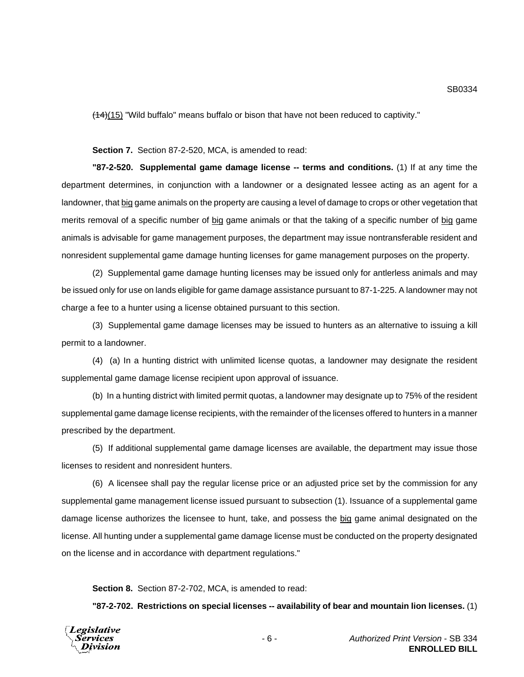(14)(15) "Wild buffalo" means buffalo or bison that have not been reduced to captivity."

#### **Section 7.** Section 87-2-520, MCA, is amended to read:

**"87-2-520. Supplemental game damage license -- terms and conditions.** (1) If at any time the department determines, in conjunction with a landowner or a designated lessee acting as an agent for a landowner, that big game animals on the property are causing a level of damage to crops or other vegetation that merits removal of a specific number of big game animals or that the taking of a specific number of big game animals is advisable for game management purposes, the department may issue nontransferable resident and nonresident supplemental game damage hunting licenses for game management purposes on the property.

(2) Supplemental game damage hunting licenses may be issued only for antlerless animals and may be issued only for use on lands eligible for game damage assistance pursuant to 87-1-225. A landowner may not charge a fee to a hunter using a license obtained pursuant to this section.

(3) Supplemental game damage licenses may be issued to hunters as an alternative to issuing a kill permit to a landowner.

(4) (a) In a hunting district with unlimited license quotas, a landowner may designate the resident supplemental game damage license recipient upon approval of issuance.

(b) In a hunting district with limited permit quotas, a landowner may designate up to 75% of the resident supplemental game damage license recipients, with the remainder of the licenses offered to hunters in a manner prescribed by the department.

(5) If additional supplemental game damage licenses are available, the department may issue those licenses to resident and nonresident hunters.

(6) A licensee shall pay the regular license price or an adjusted price set by the commission for any supplemental game management license issued pursuant to subsection (1). Issuance of a supplemental game damage license authorizes the licensee to hunt, take, and possess the big game animal designated on the license. All hunting under a supplemental game damage license must be conducted on the property designated on the license and in accordance with department regulations."

**Section 8.** Section 87-2-702, MCA, is amended to read:

**"87-2-702. Restrictions on special licenses -- availability of bear and mountain lion licenses.** (1)

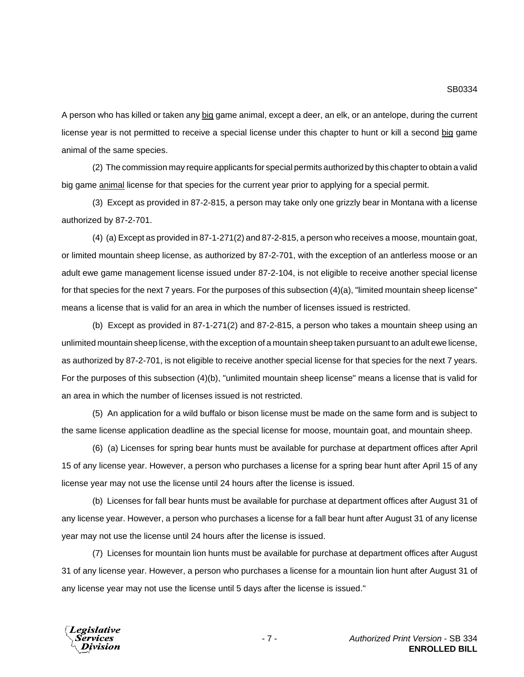A person who has killed or taken any big game animal, except a deer, an elk, or an antelope, during the current license year is not permitted to receive a special license under this chapter to hunt or kill a second big game animal of the same species.

(2) The commission may require applicants for special permits authorized by this chapter to obtain a valid big game animal license for that species for the current year prior to applying for a special permit.

(3) Except as provided in 87-2-815, a person may take only one grizzly bear in Montana with a license authorized by 87-2-701.

(4) (a) Except as provided in 87-1-271(2) and 87-2-815, a person who receives a moose, mountain goat, or limited mountain sheep license, as authorized by 87-2-701, with the exception of an antlerless moose or an adult ewe game management license issued under 87-2-104, is not eligible to receive another special license for that species for the next 7 years. For the purposes of this subsection (4)(a), "limited mountain sheep license" means a license that is valid for an area in which the number of licenses issued is restricted.

(b) Except as provided in 87-1-271(2) and 87-2-815, a person who takes a mountain sheep using an unlimited mountain sheep license, with the exception of a mountain sheep taken pursuant to an adult ewe license, as authorized by 87-2-701, is not eligible to receive another special license for that species for the next 7 years. For the purposes of this subsection (4)(b), "unlimited mountain sheep license" means a license that is valid for an area in which the number of licenses issued is not restricted.

(5) An application for a wild buffalo or bison license must be made on the same form and is subject to the same license application deadline as the special license for moose, mountain goat, and mountain sheep.

(6) (a) Licenses for spring bear hunts must be available for purchase at department offices after April 15 of any license year. However, a person who purchases a license for a spring bear hunt after April 15 of any license year may not use the license until 24 hours after the license is issued.

(b) Licenses for fall bear hunts must be available for purchase at department offices after August 31 of any license year. However, a person who purchases a license for a fall bear hunt after August 31 of any license year may not use the license until 24 hours after the license is issued.

(7) Licenses for mountain lion hunts must be available for purchase at department offices after August 31 of any license year. However, a person who purchases a license for a mountain lion hunt after August 31 of any license year may not use the license until 5 days after the license is issued."

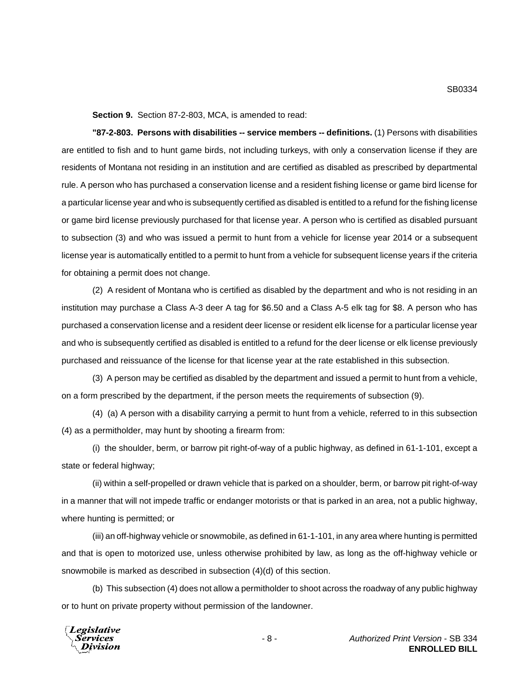**Section 9.** Section 87-2-803, MCA, is amended to read:

**"87-2-803. Persons with disabilities -- service members -- definitions.** (1) Persons with disabilities are entitled to fish and to hunt game birds, not including turkeys, with only a conservation license if they are residents of Montana not residing in an institution and are certified as disabled as prescribed by departmental rule. A person who has purchased a conservation license and a resident fishing license or game bird license for a particular license year and who is subsequently certified as disabled is entitled to a refund for the fishing license or game bird license previously purchased for that license year. A person who is certified as disabled pursuant to subsection (3) and who was issued a permit to hunt from a vehicle for license year 2014 or a subsequent license year is automatically entitled to a permit to hunt from a vehicle for subsequent license years if the criteria for obtaining a permit does not change.

(2) A resident of Montana who is certified as disabled by the department and who is not residing in an institution may purchase a Class A-3 deer A tag for \$6.50 and a Class A-5 elk tag for \$8. A person who has purchased a conservation license and a resident deer license or resident elk license for a particular license year and who is subsequently certified as disabled is entitled to a refund for the deer license or elk license previously purchased and reissuance of the license for that license year at the rate established in this subsection.

(3) A person may be certified as disabled by the department and issued a permit to hunt from a vehicle, on a form prescribed by the department, if the person meets the requirements of subsection (9).

(4) (a) A person with a disability carrying a permit to hunt from a vehicle, referred to in this subsection (4) as a permitholder, may hunt by shooting a firearm from:

(i) the shoulder, berm, or barrow pit right-of-way of a public highway, as defined in 61-1-101, except a state or federal highway;

(ii) within a self-propelled or drawn vehicle that is parked on a shoulder, berm, or barrow pit right-of-way in a manner that will not impede traffic or endanger motorists or that is parked in an area, not a public highway, where hunting is permitted; or

(iii) an off-highway vehicle or snowmobile, as defined in 61-1-101, in any area where hunting is permitted and that is open to motorized use, unless otherwise prohibited by law, as long as the off-highway vehicle or snowmobile is marked as described in subsection (4)(d) of this section.

(b) This subsection (4) does not allow a permitholder to shoot across the roadway of any public highway or to hunt on private property without permission of the landowner.



- 8 - *Authorized Print Version* - SB 334 **ENROLLED BILL**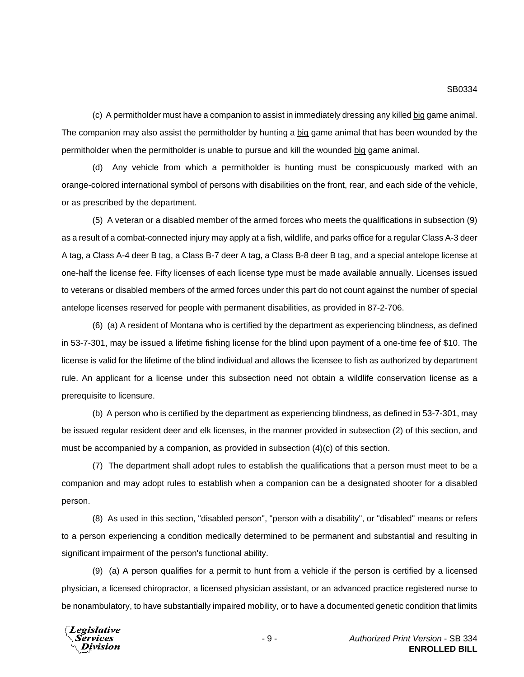(c) A permitholder must have a companion to assist in immediately dressing any killed big game animal. The companion may also assist the permitholder by hunting a big game animal that has been wounded by the permitholder when the permitholder is unable to pursue and kill the wounded big game animal.

(d) Any vehicle from which a permitholder is hunting must be conspicuously marked with an orange-colored international symbol of persons with disabilities on the front, rear, and each side of the vehicle, or as prescribed by the department.

(5) A veteran or a disabled member of the armed forces who meets the qualifications in subsection (9) as a result of a combat-connected injury may apply at a fish, wildlife, and parks office for a regular Class A-3 deer A tag, a Class A-4 deer B tag, a Class B-7 deer A tag, a Class B-8 deer B tag, and a special antelope license at one-half the license fee. Fifty licenses of each license type must be made available annually. Licenses issued to veterans or disabled members of the armed forces under this part do not count against the number of special antelope licenses reserved for people with permanent disabilities, as provided in 87-2-706.

(6) (a) A resident of Montana who is certified by the department as experiencing blindness, as defined in 53-7-301, may be issued a lifetime fishing license for the blind upon payment of a one-time fee of \$10. The license is valid for the lifetime of the blind individual and allows the licensee to fish as authorized by department rule. An applicant for a license under this subsection need not obtain a wildlife conservation license as a prerequisite to licensure.

(b) A person who is certified by the department as experiencing blindness, as defined in 53-7-301, may be issued regular resident deer and elk licenses, in the manner provided in subsection (2) of this section, and must be accompanied by a companion, as provided in subsection (4)(c) of this section.

(7) The department shall adopt rules to establish the qualifications that a person must meet to be a companion and may adopt rules to establish when a companion can be a designated shooter for a disabled person.

(8) As used in this section, "disabled person", "person with a disability", or "disabled" means or refers to a person experiencing a condition medically determined to be permanent and substantial and resulting in significant impairment of the person's functional ability.

(9) (a) A person qualifies for a permit to hunt from a vehicle if the person is certified by a licensed physician, a licensed chiropractor, a licensed physician assistant, or an advanced practice registered nurse to be nonambulatory, to have substantially impaired mobility, or to have a documented genetic condition that limits

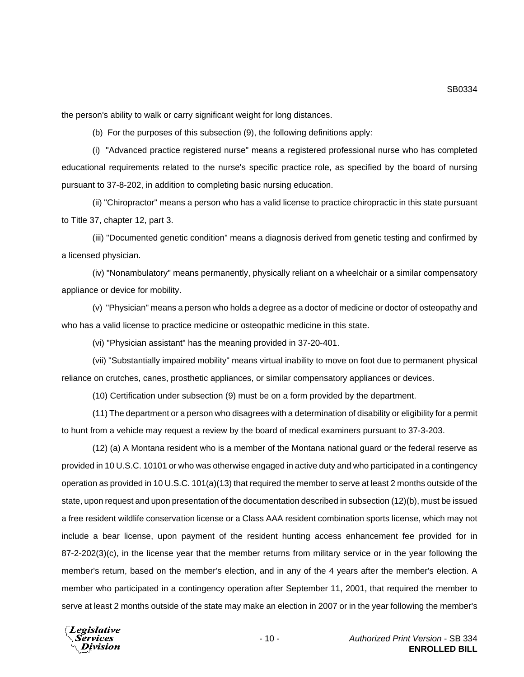the person's ability to walk or carry significant weight for long distances.

(b) For the purposes of this subsection (9), the following definitions apply:

(i) "Advanced practice registered nurse" means a registered professional nurse who has completed educational requirements related to the nurse's specific practice role, as specified by the board of nursing pursuant to 37-8-202, in addition to completing basic nursing education.

(ii) "Chiropractor" means a person who has a valid license to practice chiropractic in this state pursuant to Title 37, chapter 12, part 3.

(iii) "Documented genetic condition" means a diagnosis derived from genetic testing and confirmed by a licensed physician.

(iv) "Nonambulatory" means permanently, physically reliant on a wheelchair or a similar compensatory appliance or device for mobility.

(v) "Physician" means a person who holds a degree as a doctor of medicine or doctor of osteopathy and who has a valid license to practice medicine or osteopathic medicine in this state.

(vi) "Physician assistant" has the meaning provided in 37-20-401.

(vii) "Substantially impaired mobility" means virtual inability to move on foot due to permanent physical reliance on crutches, canes, prosthetic appliances, or similar compensatory appliances or devices.

(10) Certification under subsection (9) must be on a form provided by the department.

(11) The department or a person who disagrees with a determination of disability or eligibility for a permit to hunt from a vehicle may request a review by the board of medical examiners pursuant to 37-3-203.

(12) (a) A Montana resident who is a member of the Montana national guard or the federal reserve as provided in 10 U.S.C. 10101 or who was otherwise engaged in active duty and who participated in a contingency operation as provided in 10 U.S.C. 101(a)(13) that required the member to serve at least 2 months outside of the state, upon request and upon presentation of the documentation described in subsection (12)(b), must be issued a free resident wildlife conservation license or a Class AAA resident combination sports license, which may not include a bear license, upon payment of the resident hunting access enhancement fee provided for in 87-2-202(3)(c), in the license year that the member returns from military service or in the year following the member's return, based on the member's election, and in any of the 4 years after the member's election. A member who participated in a contingency operation after September 11, 2001, that required the member to serve at least 2 months outside of the state may make an election in 2007 or in the year following the member's

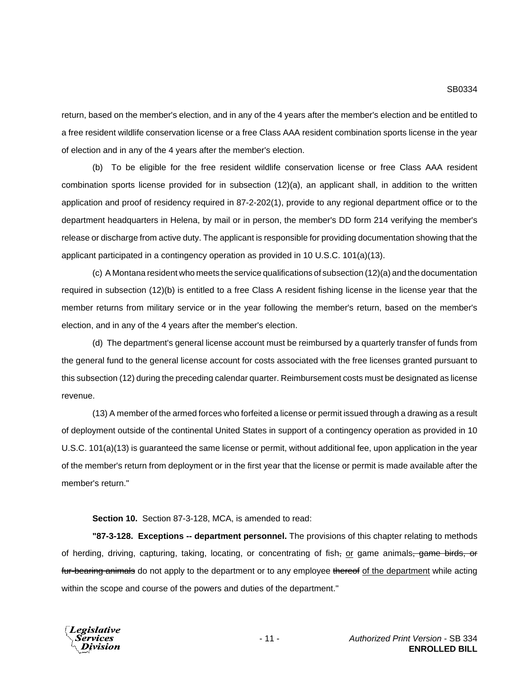return, based on the member's election, and in any of the 4 years after the member's election and be entitled to a free resident wildlife conservation license or a free Class AAA resident combination sports license in the year of election and in any of the 4 years after the member's election.

(b) To be eligible for the free resident wildlife conservation license or free Class AAA resident combination sports license provided for in subsection (12)(a), an applicant shall, in addition to the written application and proof of residency required in 87-2-202(1), provide to any regional department office or to the department headquarters in Helena, by mail or in person, the member's DD form 214 verifying the member's release or discharge from active duty. The applicant is responsible for providing documentation showing that the applicant participated in a contingency operation as provided in 10 U.S.C. 101(a)(13).

(c) A Montana resident who meets the service qualifications of subsection (12)(a) and the documentation required in subsection (12)(b) is entitled to a free Class A resident fishing license in the license year that the member returns from military service or in the year following the member's return, based on the member's election, and in any of the 4 years after the member's election.

(d) The department's general license account must be reimbursed by a quarterly transfer of funds from the general fund to the general license account for costs associated with the free licenses granted pursuant to this subsection (12) during the preceding calendar quarter. Reimbursement costs must be designated as license revenue.

(13) A member of the armed forces who forfeited a license or permit issued through a drawing as a result of deployment outside of the continental United States in support of a contingency operation as provided in 10 U.S.C. 101(a)(13) is guaranteed the same license or permit, without additional fee, upon application in the year of the member's return from deployment or in the first year that the license or permit is made available after the member's return."

#### **Section 10.** Section 87-3-128, MCA, is amended to read:

**"87-3-128. Exceptions -- department personnel.** The provisions of this chapter relating to methods of herding, driving, capturing, taking, locating, or concentrating of fish, or game animals, game birds, or fur-bearing animals do not apply to the department or to any employee thereof of the department while acting within the scope and course of the powers and duties of the department."

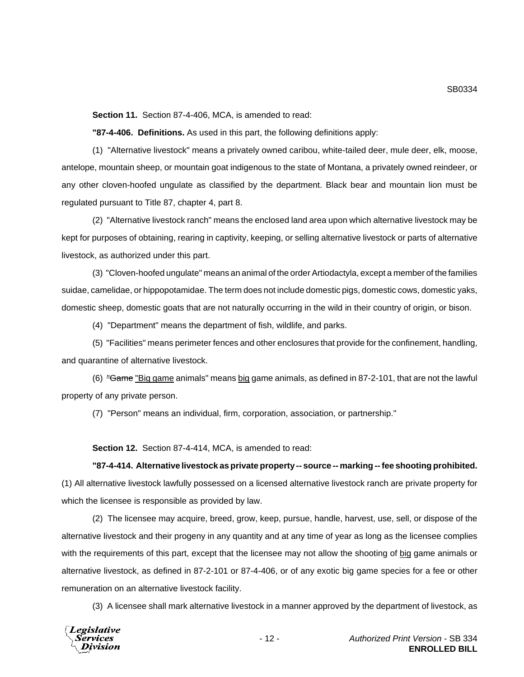**Section 11.** Section 87-4-406, MCA, is amended to read:

**"87-4-406. Definitions.** As used in this part, the following definitions apply:

(1) "Alternative livestock" means a privately owned caribou, white-tailed deer, mule deer, elk, moose, antelope, mountain sheep, or mountain goat indigenous to the state of Montana, a privately owned reindeer, or any other cloven-hoofed ungulate as classified by the department. Black bear and mountain lion must be regulated pursuant to Title 87, chapter 4, part 8.

(2) "Alternative livestock ranch" means the enclosed land area upon which alternative livestock may be kept for purposes of obtaining, rearing in captivity, keeping, or selling alternative livestock or parts of alternative livestock, as authorized under this part.

(3) "Cloven-hoofed ungulate" means an animal of the order Artiodactyla, except a member of the families suidae, camelidae, or hippopotamidae. The term does not include domestic pigs, domestic cows, domestic yaks, domestic sheep, domestic goats that are not naturally occurring in the wild in their country of origin, or bison.

(4) "Department" means the department of fish, wildlife, and parks.

(5) "Facilities" means perimeter fences and other enclosures that provide for the confinement, handling, and quarantine of alternative livestock.

(6) "Game "Big game animals" means big game animals, as defined in 87-2-101, that are not the lawful property of any private person.

(7) "Person" means an individual, firm, corporation, association, or partnership."

**Section 12.** Section 87-4-414, MCA, is amended to read:

#### **"87-4-414. Alternative livestock as private property -- source -- marking -- fee shooting prohibited.**

(1) All alternative livestock lawfully possessed on a licensed alternative livestock ranch are private property for which the licensee is responsible as provided by law.

(2) The licensee may acquire, breed, grow, keep, pursue, handle, harvest, use, sell, or dispose of the alternative livestock and their progeny in any quantity and at any time of year as long as the licensee complies with the requirements of this part, except that the licensee may not allow the shooting of big game animals or alternative livestock, as defined in 87-2-101 or 87-4-406, or of any exotic big game species for a fee or other remuneration on an alternative livestock facility.

(3) A licensee shall mark alternative livestock in a manner approved by the department of livestock, as

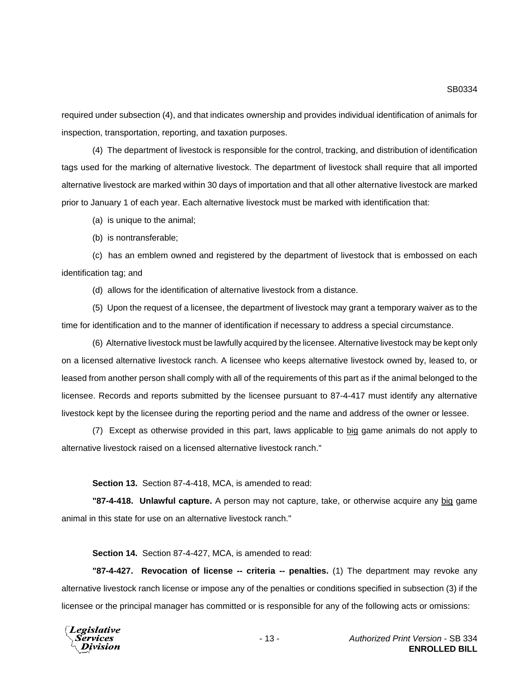required under subsection (4), and that indicates ownership and provides individual identification of animals for inspection, transportation, reporting, and taxation purposes.

(4) The department of livestock is responsible for the control, tracking, and distribution of identification tags used for the marking of alternative livestock. The department of livestock shall require that all imported alternative livestock are marked within 30 days of importation and that all other alternative livestock are marked prior to January 1 of each year. Each alternative livestock must be marked with identification that:

(a) is unique to the animal;

(b) is nontransferable;

(c) has an emblem owned and registered by the department of livestock that is embossed on each identification tag; and

(d) allows for the identification of alternative livestock from a distance.

(5) Upon the request of a licensee, the department of livestock may grant a temporary waiver as to the time for identification and to the manner of identification if necessary to address a special circumstance.

(6) Alternative livestock must be lawfully acquired by the licensee. Alternative livestock may be kept only on a licensed alternative livestock ranch. A licensee who keeps alternative livestock owned by, leased to, or leased from another person shall comply with all of the requirements of this part as if the animal belonged to the licensee. Records and reports submitted by the licensee pursuant to 87-4-417 must identify any alternative livestock kept by the licensee during the reporting period and the name and address of the owner or lessee.

(7) Except as otherwise provided in this part, laws applicable to big game animals do not apply to alternative livestock raised on a licensed alternative livestock ranch."

**Section 13.** Section 87-4-418, MCA, is amended to read:

**"87-4-418. Unlawful capture.** A person may not capture, take, or otherwise acquire any big game animal in this state for use on an alternative livestock ranch."

**Section 14.** Section 87-4-427, MCA, is amended to read:

**"87-4-427. Revocation of license -- criteria -- penalties.** (1) The department may revoke any alternative livestock ranch license or impose any of the penalties or conditions specified in subsection (3) if the licensee or the principal manager has committed or is responsible for any of the following acts or omissions:

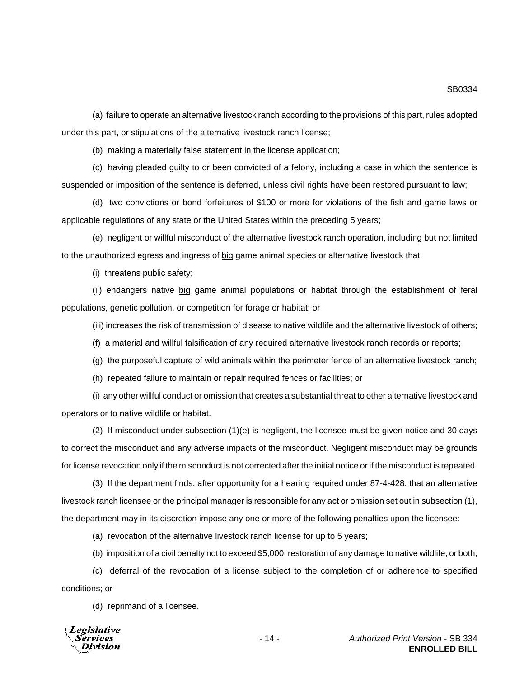(a) failure to operate an alternative livestock ranch according to the provisions of this part, rules adopted under this part, or stipulations of the alternative livestock ranch license;

(b) making a materially false statement in the license application;

(c) having pleaded guilty to or been convicted of a felony, including a case in which the sentence is suspended or imposition of the sentence is deferred, unless civil rights have been restored pursuant to law;

(d) two convictions or bond forfeitures of \$100 or more for violations of the fish and game laws or applicable regulations of any state or the United States within the preceding 5 years;

(e) negligent or willful misconduct of the alternative livestock ranch operation, including but not limited to the unauthorized egress and ingress of big game animal species or alternative livestock that:

(i) threatens public safety;

(ii) endangers native big game animal populations or habitat through the establishment of feral populations, genetic pollution, or competition for forage or habitat; or

(iii) increases the risk of transmission of disease to native wildlife and the alternative livestock of others;

(f) a material and willful falsification of any required alternative livestock ranch records or reports;

(g) the purposeful capture of wild animals within the perimeter fence of an alternative livestock ranch;

(h) repeated failure to maintain or repair required fences or facilities; or

(i) any other willful conduct or omission that creates a substantial threat to other alternative livestock and operators or to native wildlife or habitat.

(2) If misconduct under subsection (1)(e) is negligent, the licensee must be given notice and 30 days to correct the misconduct and any adverse impacts of the misconduct. Negligent misconduct may be grounds for license revocation only if the misconduct is not corrected after the initial notice or if the misconduct is repeated.

(3) If the department finds, after opportunity for a hearing required under 87-4-428, that an alternative livestock ranch licensee or the principal manager is responsible for any act or omission set out in subsection (1), the department may in its discretion impose any one or more of the following penalties upon the licensee:

(a) revocation of the alternative livestock ranch license for up to 5 years;

(b) imposition of a civil penalty not to exceed \$5,000, restoration of any damage to native wildlife, or both;

(c) deferral of the revocation of a license subject to the completion of or adherence to specified conditions; or

(d) reprimand of a licensee.

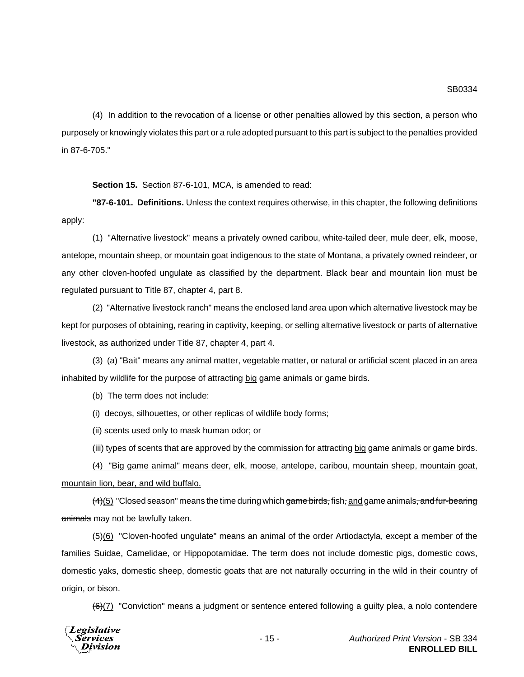(4) In addition to the revocation of a license or other penalties allowed by this section, a person who purposely or knowingly violates this part or a rule adopted pursuant to this part is subject to the penalties provided in 87-6-705."

**Section 15.** Section 87-6-101, MCA, is amended to read:

**"87-6-101. Definitions.** Unless the context requires otherwise, in this chapter, the following definitions apply:

(1) "Alternative livestock" means a privately owned caribou, white-tailed deer, mule deer, elk, moose, antelope, mountain sheep, or mountain goat indigenous to the state of Montana, a privately owned reindeer, or any other cloven-hoofed ungulate as classified by the department. Black bear and mountain lion must be regulated pursuant to Title 87, chapter 4, part 8.

(2) "Alternative livestock ranch" means the enclosed land area upon which alternative livestock may be kept for purposes of obtaining, rearing in captivity, keeping, or selling alternative livestock or parts of alternative livestock, as authorized under Title 87, chapter 4, part 4.

(3) (a) "Bait" means any animal matter, vegetable matter, or natural or artificial scent placed in an area inhabited by wildlife for the purpose of attracting big game animals or game birds.

(b) The term does not include:

(i) decoys, silhouettes, or other replicas of wildlife body forms;

(ii) scents used only to mask human odor; or

(iii) types of scents that are approved by the commission for attracting big game animals or game birds.

(4) "Big game animal" means deer, elk, moose, antelope, caribou, mountain sheep, mountain goat, mountain lion, bear, and wild buffalo.

 $(4)(5)$  "Closed season" means the time during which game birds, fish, and game animals, and fur-bearing animals may not be lawfully taken.

 $(5)(6)$  "Cloven-hoofed ungulate" means an animal of the order Artiodactyla, except a member of the families Suidae, Camelidae, or Hippopotamidae. The term does not include domestic pigs, domestic cows, domestic yaks, domestic sheep, domestic goats that are not naturally occurring in the wild in their country of origin, or bison.

 $\left(\frac{6}{2}\right)$  "Conviction" means a judgment or sentence entered following a guilty plea, a nolo contendere

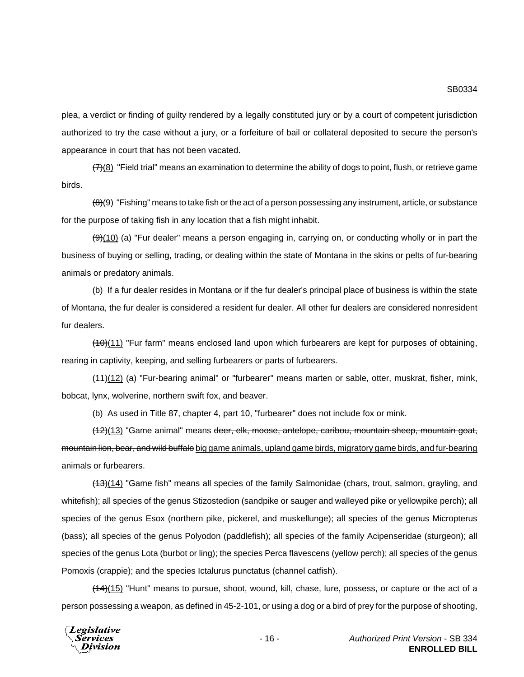plea, a verdict or finding of guilty rendered by a legally constituted jury or by a court of competent jurisdiction authorized to try the case without a jury, or a forfeiture of bail or collateral deposited to secure the person's appearance in court that has not been vacated.

 $(7)(8)$  "Field trial" means an examination to determine the ability of dogs to point, flush, or retrieve game birds.

 $(8)(9)$  "Fishing" means to take fish or the act of a person possessing any instrument, article, or substance for the purpose of taking fish in any location that a fish might inhabit.

 $(9)(10)$  (a) "Fur dealer" means a person engaging in, carrying on, or conducting wholly or in part the business of buying or selling, trading, or dealing within the state of Montana in the skins or pelts of fur-bearing animals or predatory animals.

(b) If a fur dealer resides in Montana or if the fur dealer's principal place of business is within the state of Montana, the fur dealer is considered a resident fur dealer. All other fur dealers are considered nonresident fur dealers.

 $(10)(11)$  "Fur farm" means enclosed land upon which furbearers are kept for purposes of obtaining, rearing in captivity, keeping, and selling furbearers or parts of furbearers.

(11)(12) (a) "Fur-bearing animal" or "furbearer" means marten or sable, otter, muskrat, fisher, mink, bobcat, lynx, wolverine, northern swift fox, and beaver.

(b) As used in Title 87, chapter 4, part 10, "furbearer" does not include fox or mink.

(12)(13) "Game animal" means deer, elk, moose, antelope, caribou, mountain sheep, mountain goat, mountain lion, bear, and wild buffalo big game animals, upland game birds, migratory game birds, and fur-bearing animals or furbearers.

(13)(14) "Game fish" means all species of the family Salmonidae (chars, trout, salmon, grayling, and whitefish); all species of the genus Stizostedion (sandpike or sauger and walleyed pike or yellowpike perch); all species of the genus Esox (northern pike, pickerel, and muskellunge); all species of the genus Micropterus (bass); all species of the genus Polyodon (paddlefish); all species of the family Acipenseridae (sturgeon); all species of the genus Lota (burbot or ling); the species Perca flavescens (yellow perch); all species of the genus Pomoxis (crappie); and the species Ictalurus punctatus (channel catfish).

 $(14)(15)$  "Hunt" means to pursue, shoot, wound, kill, chase, lure, possess, or capture or the act of a person possessing a weapon, as defined in 45-2-101, or using a dog or a bird of prey for the purpose of shooting,

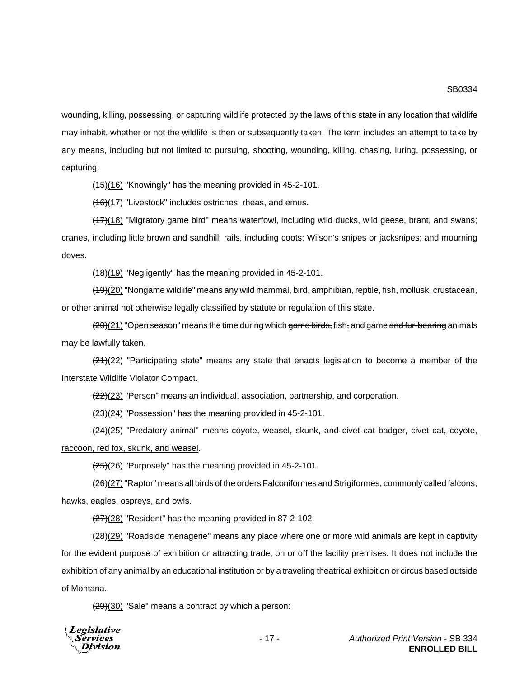wounding, killing, possessing, or capturing wildlife protected by the laws of this state in any location that wildlife may inhabit, whether or not the wildlife is then or subsequently taken. The term includes an attempt to take by any means, including but not limited to pursuing, shooting, wounding, killing, chasing, luring, possessing, or capturing.

 $(15)(16)$  "Knowingly" has the meaning provided in 45-2-101.

 $(16)(17)$  "Livestock" includes ostriches, rheas, and emus.

(17)(18) "Migratory game bird" means waterfowl, including wild ducks, wild geese, brant, and swans; cranes, including little brown and sandhill; rails, including coots; Wilson's snipes or jacksnipes; and mourning doves.

(18)(19) "Negligently" has the meaning provided in 45-2-101.

(19)(20) "Nongame wildlife" means any wild mammal, bird, amphibian, reptile, fish, mollusk, crustacean, or other animal not otherwise legally classified by statute or regulation of this state.

 $(20)(21)$  "Open season" means the time during which game birds, fish, and game and fur-bearing animals may be lawfully taken.

 $\left(\frac{21}{22}\right)$  "Participating state" means any state that enacts legislation to become a member of the Interstate Wildlife Violator Compact.

(22)(23) "Person" means an individual, association, partnership, and corporation.

 $\left(\frac{23}{24}\right)$  "Possession" has the meaning provided in 45-2-101.

(24)(25) "Predatory animal" means covote, weasel, skunk, and civet cat badger, civet cat, coyote, raccoon, red fox, skunk, and weasel.

 $\frac{(25)(26)}{25}$  "Purposely" has the meaning provided in 45-2-101.

(26)(27) "Raptor" means all birds of the orders Falconiformes and Strigiformes, commonly called falcons, hawks, eagles, ospreys, and owls.

 $(27)(28)$  "Resident" has the meaning provided in 87-2-102.

(28)(29) "Roadside menagerie" means any place where one or more wild animals are kept in captivity for the evident purpose of exhibition or attracting trade, on or off the facility premises. It does not include the exhibition of any animal by an educational institution or by a traveling theatrical exhibition or circus based outside of Montana.

 $(29)(30)$  "Sale" means a contract by which a person:

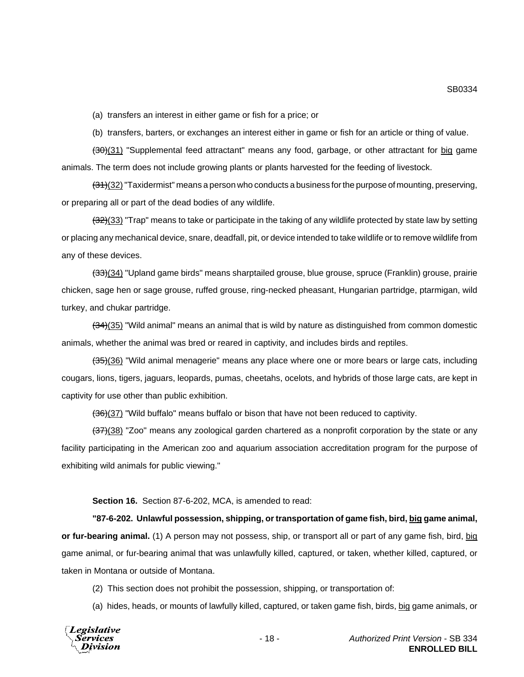(a) transfers an interest in either game or fish for a price; or

(b) transfers, barters, or exchanges an interest either in game or fish for an article or thing of value.

(30)(31) "Supplemental feed attractant" means any food, garbage, or other attractant for big game animals. The term does not include growing plants or plants harvested for the feeding of livestock.

 $(31)(32)$  "Taxidermist" means a person who conducts a business for the purpose of mounting, preserving, or preparing all or part of the dead bodies of any wildlife.

 $(32)(33)$  "Trap" means to take or participate in the taking of any wildlife protected by state law by setting or placing any mechanical device, snare, deadfall, pit, or device intended to take wildlife or to remove wildlife from any of these devices.

(33)(34) "Upland game birds" means sharptailed grouse, blue grouse, spruce (Franklin) grouse, prairie chicken, sage hen or sage grouse, ruffed grouse, ring-necked pheasant, Hungarian partridge, ptarmigan, wild turkey, and chukar partridge.

 $(34)(35)$  "Wild animal" means an animal that is wild by nature as distinguished from common domestic animals, whether the animal was bred or reared in captivity, and includes birds and reptiles.

 $(35)(36)$  "Wild animal menagerie" means any place where one or more bears or large cats, including cougars, lions, tigers, jaguars, leopards, pumas, cheetahs, ocelots, and hybrids of those large cats, are kept in captivity for use other than public exhibition.

(36)(37) "Wild buffalo" means buffalo or bison that have not been reduced to captivity.

 $(37)(38)$  "Zoo" means any zoological garden chartered as a nonprofit corporation by the state or any facility participating in the American zoo and aquarium association accreditation program for the purpose of exhibiting wild animals for public viewing."

**Section 16.** Section 87-6-202, MCA, is amended to read:

**"87-6-202. Unlawful possession, shipping, or transportation of game fish, bird, big game animal, or fur-bearing animal.** (1) A person may not possess, ship, or transport all or part of any game fish, bird, big game animal, or fur-bearing animal that was unlawfully killed, captured, or taken, whether killed, captured, or taken in Montana or outside of Montana.

(2) This section does not prohibit the possession, shipping, or transportation of:

(a) hides, heads, or mounts of lawfully killed, captured, or taken game fish, birds, big game animals, or

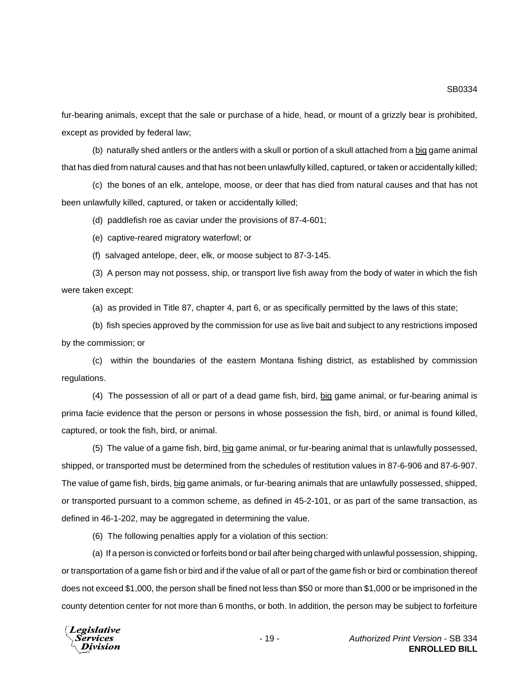fur-bearing animals, except that the sale or purchase of a hide, head, or mount of a grizzly bear is prohibited, except as provided by federal law;

(b) naturally shed antlers or the antlers with a skull or portion of a skull attached from a big game animal that has died from natural causes and that has not been unlawfully killed, captured, or taken or accidentally killed;

(c) the bones of an elk, antelope, moose, or deer that has died from natural causes and that has not been unlawfully killed, captured, or taken or accidentally killed;

(d) paddlefish roe as caviar under the provisions of 87-4-601;

(e) captive-reared migratory waterfowl; or

(f) salvaged antelope, deer, elk, or moose subject to 87-3-145.

(3) A person may not possess, ship, or transport live fish away from the body of water in which the fish were taken except:

(a) as provided in Title 87, chapter 4, part 6, or as specifically permitted by the laws of this state;

(b) fish species approved by the commission for use as live bait and subject to any restrictions imposed by the commission; or

(c) within the boundaries of the eastern Montana fishing district, as established by commission regulations.

(4) The possession of all or part of a dead game fish, bird, big game animal, or fur-bearing animal is prima facie evidence that the person or persons in whose possession the fish, bird, or animal is found killed, captured, or took the fish, bird, or animal.

(5) The value of a game fish, bird, big game animal, or fur-bearing animal that is unlawfully possessed, shipped, or transported must be determined from the schedules of restitution values in 87-6-906 and 87-6-907. The value of game fish, birds, big game animals, or fur-bearing animals that are unlawfully possessed, shipped, or transported pursuant to a common scheme, as defined in 45-2-101, or as part of the same transaction, as defined in 46-1-202, may be aggregated in determining the value.

(6) The following penalties apply for a violation of this section:

(a) If a person is convicted or forfeits bond or bail after being charged with unlawful possession, shipping, or transportation of a game fish or bird and if the value of all or part of the game fish or bird or combination thereof does not exceed \$1,000, the person shall be fined not less than \$50 or more than \$1,000 or be imprisoned in the county detention center for not more than 6 months, or both. In addition, the person may be subject to forfeiture

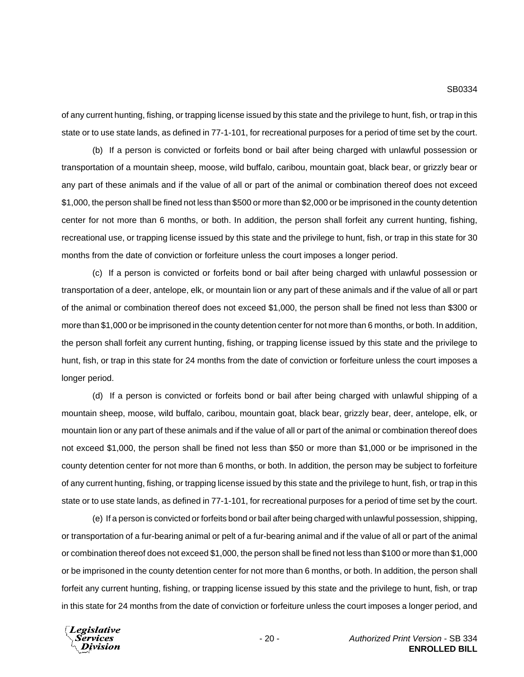of any current hunting, fishing, or trapping license issued by this state and the privilege to hunt, fish, or trap in this state or to use state lands, as defined in 77-1-101, for recreational purposes for a period of time set by the court.

(b) If a person is convicted or forfeits bond or bail after being charged with unlawful possession or transportation of a mountain sheep, moose, wild buffalo, caribou, mountain goat, black bear, or grizzly bear or any part of these animals and if the value of all or part of the animal or combination thereof does not exceed \$1,000, the person shall be fined not less than \$500 or more than \$2,000 or be imprisoned in the county detention center for not more than 6 months, or both. In addition, the person shall forfeit any current hunting, fishing, recreational use, or trapping license issued by this state and the privilege to hunt, fish, or trap in this state for 30 months from the date of conviction or forfeiture unless the court imposes a longer period.

(c) If a person is convicted or forfeits bond or bail after being charged with unlawful possession or transportation of a deer, antelope, elk, or mountain lion or any part of these animals and if the value of all or part of the animal or combination thereof does not exceed \$1,000, the person shall be fined not less than \$300 or more than \$1,000 or be imprisoned in the county detention center for not more than 6 months, or both. In addition, the person shall forfeit any current hunting, fishing, or trapping license issued by this state and the privilege to hunt, fish, or trap in this state for 24 months from the date of conviction or forfeiture unless the court imposes a longer period.

(d) If a person is convicted or forfeits bond or bail after being charged with unlawful shipping of a mountain sheep, moose, wild buffalo, caribou, mountain goat, black bear, grizzly bear, deer, antelope, elk, or mountain lion or any part of these animals and if the value of all or part of the animal or combination thereof does not exceed \$1,000, the person shall be fined not less than \$50 or more than \$1,000 or be imprisoned in the county detention center for not more than 6 months, or both. In addition, the person may be subject to forfeiture of any current hunting, fishing, or trapping license issued by this state and the privilege to hunt, fish, or trap in this state or to use state lands, as defined in 77-1-101, for recreational purposes for a period of time set by the court.

(e) If a person is convicted or forfeits bond or bail after being charged with unlawful possession, shipping, or transportation of a fur-bearing animal or pelt of a fur-bearing animal and if the value of all or part of the animal or combination thereof does not exceed \$1,000, the person shall be fined not less than \$100 or more than \$1,000 or be imprisoned in the county detention center for not more than 6 months, or both. In addition, the person shall forfeit any current hunting, fishing, or trapping license issued by this state and the privilege to hunt, fish, or trap in this state for 24 months from the date of conviction or forfeiture unless the court imposes a longer period, and

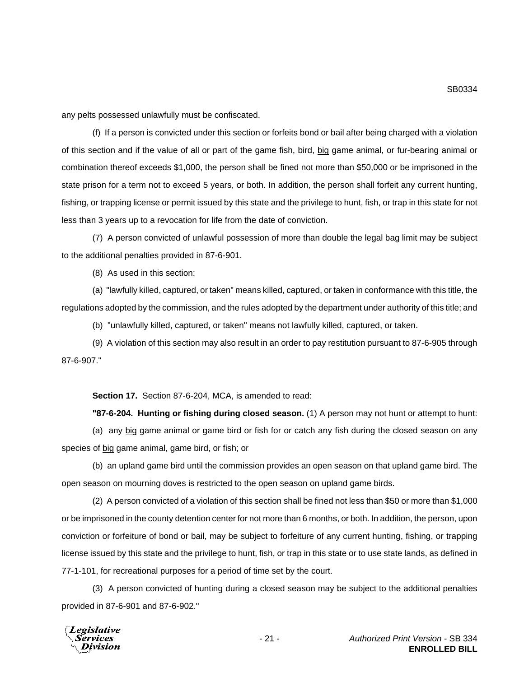any pelts possessed unlawfully must be confiscated.

(f) If a person is convicted under this section or forfeits bond or bail after being charged with a violation of this section and if the value of all or part of the game fish, bird, big game animal, or fur-bearing animal or combination thereof exceeds \$1,000, the person shall be fined not more than \$50,000 or be imprisoned in the state prison for a term not to exceed 5 years, or both. In addition, the person shall forfeit any current hunting, fishing, or trapping license or permit issued by this state and the privilege to hunt, fish, or trap in this state for not less than 3 years up to a revocation for life from the date of conviction.

(7) A person convicted of unlawful possession of more than double the legal bag limit may be subject to the additional penalties provided in 87-6-901.

(8) As used in this section:

(a) "lawfully killed, captured, or taken" means killed, captured, or taken in conformance with this title, the regulations adopted by the commission, and the rules adopted by the department under authority of this title; and

(b) "unlawfully killed, captured, or taken" means not lawfully killed, captured, or taken.

(9) A violation of this section may also result in an order to pay restitution pursuant to 87-6-905 through 87-6-907."

**Section 17.** Section 87-6-204, MCA, is amended to read:

**"87-6-204. Hunting or fishing during closed season.** (1) A person may not hunt or attempt to hunt:

(a) any big game animal or game bird or fish for or catch any fish during the closed season on any species of big game animal, game bird, or fish; or

(b) an upland game bird until the commission provides an open season on that upland game bird. The open season on mourning doves is restricted to the open season on upland game birds.

(2) A person convicted of a violation of this section shall be fined not less than \$50 or more than \$1,000 or be imprisoned in the county detention center for not more than 6 months, or both. In addition, the person, upon conviction or forfeiture of bond or bail, may be subject to forfeiture of any current hunting, fishing, or trapping license issued by this state and the privilege to hunt, fish, or trap in this state or to use state lands, as defined in 77-1-101, for recreational purposes for a period of time set by the court.

(3) A person convicted of hunting during a closed season may be subject to the additional penalties provided in 87-6-901 and 87-6-902."

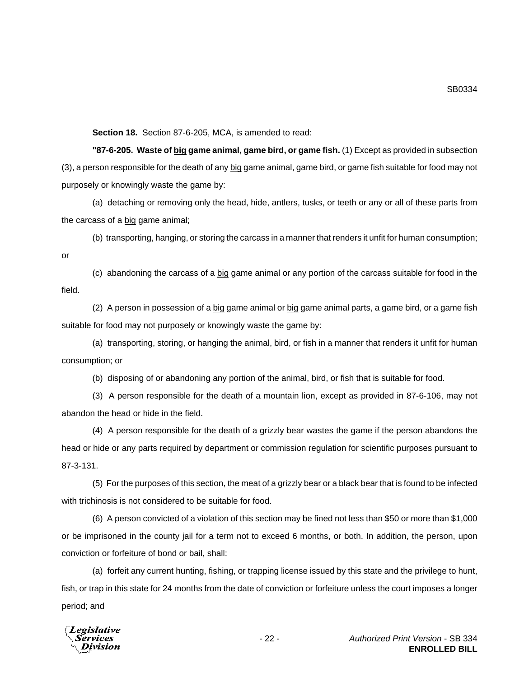**Section 18.** Section 87-6-205, MCA, is amended to read:

**"87-6-205. Waste of big game animal, game bird, or game fish.** (1) Except as provided in subsection (3), a person responsible for the death of any big game animal, game bird, or game fish suitable for food may not purposely or knowingly waste the game by:

(a) detaching or removing only the head, hide, antlers, tusks, or teeth or any or all of these parts from the carcass of a big game animal;

(b) transporting, hanging, or storing the carcass in a manner that renders it unfit for human consumption;

or

(c) abandoning the carcass of a big game animal or any portion of the carcass suitable for food in the field.

(2) A person in possession of a big game animal or big game animal parts, a game bird, or a game fish suitable for food may not purposely or knowingly waste the game by:

(a) transporting, storing, or hanging the animal, bird, or fish in a manner that renders it unfit for human consumption; or

(b) disposing of or abandoning any portion of the animal, bird, or fish that is suitable for food.

(3) A person responsible for the death of a mountain lion, except as provided in 87-6-106, may not abandon the head or hide in the field.

(4) A person responsible for the death of a grizzly bear wastes the game if the person abandons the head or hide or any parts required by department or commission regulation for scientific purposes pursuant to 87-3-131.

(5) For the purposes of this section, the meat of a grizzly bear or a black bear that is found to be infected with trichinosis is not considered to be suitable for food.

(6) A person convicted of a violation of this section may be fined not less than \$50 or more than \$1,000 or be imprisoned in the county jail for a term not to exceed 6 months, or both. In addition, the person, upon conviction or forfeiture of bond or bail, shall:

(a) forfeit any current hunting, fishing, or trapping license issued by this state and the privilege to hunt, fish, or trap in this state for 24 months from the date of conviction or forfeiture unless the court imposes a longer period; and

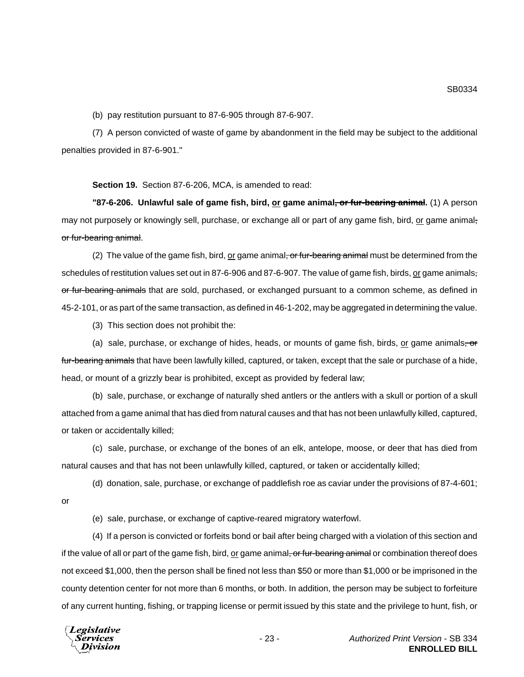(b) pay restitution pursuant to 87-6-905 through 87-6-907.

(7) A person convicted of waste of game by abandonment in the field may be subject to the additional penalties provided in 87-6-901."

**Section 19.** Section 87-6-206, MCA, is amended to read:

**"87-6-206. Unlawful sale of game fish, bird, or game animal<del>, or fur-bearing animal</del>. (1) A person** may not purposely or knowingly sell, purchase, or exchange all or part of any game fish, bird, or game animalor fur-bearing animal.

(2) The value of the game fish, bird, or game animal, or fur-bearing animal must be determined from the schedules of restitution values set out in 87-6-906 and 87-6-907. The value of game fish, birds, or game animalsor fur-bearing animals that are sold, purchased, or exchanged pursuant to a common scheme, as defined in 45-2-101, or as part of the same transaction, as defined in 46-1-202, may be aggregated in determining the value.

(3) This section does not prohibit the:

(a) sale, purchase, or exchange of hides, heads, or mounts of game fish, birds,  $or$  game animals,  $\sigma$ </u> fur-bearing animals that have been lawfully killed, captured, or taken, except that the sale or purchase of a hide, head, or mount of a grizzly bear is prohibited, except as provided by federal law;

(b) sale, purchase, or exchange of naturally shed antlers or the antlers with a skull or portion of a skull attached from a game animal that has died from natural causes and that has not been unlawfully killed, captured, or taken or accidentally killed;

(c) sale, purchase, or exchange of the bones of an elk, antelope, moose, or deer that has died from natural causes and that has not been unlawfully killed, captured, or taken or accidentally killed;

(d) donation, sale, purchase, or exchange of paddlefish roe as caviar under the provisions of 87-4-601;

or

(e) sale, purchase, or exchange of captive-reared migratory waterfowl.

(4) If a person is convicted or forfeits bond or bail after being charged with a violation of this section and if the value of all or part of the game fish, bird, or game animal<del>, or fur-bearing animal</del> or combination thereof does not exceed \$1,000, then the person shall be fined not less than \$50 or more than \$1,000 or be imprisoned in the county detention center for not more than 6 months, or both. In addition, the person may be subject to forfeiture of any current hunting, fishing, or trapping license or permit issued by this state and the privilege to hunt, fish, or

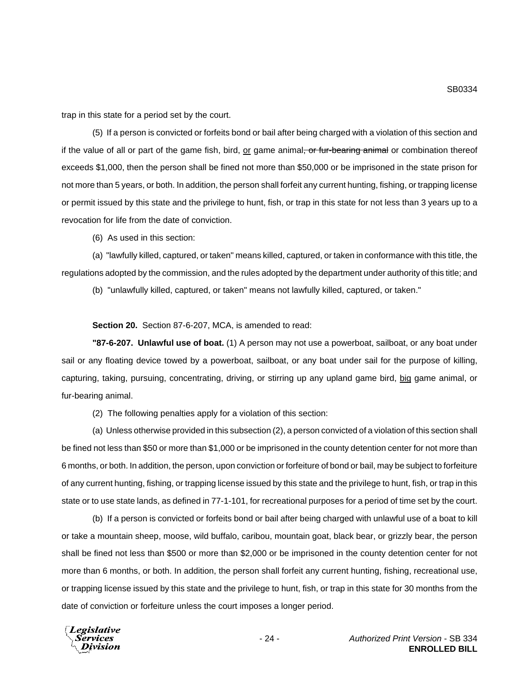trap in this state for a period set by the court.

(5) If a person is convicted or forfeits bond or bail after being charged with a violation of this section and if the value of all or part of the game fish, bird, or game animal, or fur-bearing animal or combination thereof exceeds \$1,000, then the person shall be fined not more than \$50,000 or be imprisoned in the state prison for not more than 5 years, or both. In addition, the person shall forfeit any current hunting, fishing, or trapping license or permit issued by this state and the privilege to hunt, fish, or trap in this state for not less than 3 years up to a revocation for life from the date of conviction.

(6) As used in this section:

(a) "lawfully killed, captured, or taken" means killed, captured, or taken in conformance with this title, the regulations adopted by the commission, and the rules adopted by the department under authority of this title; and

(b) "unlawfully killed, captured, or taken" means not lawfully killed, captured, or taken."

**Section 20.** Section 87-6-207, MCA, is amended to read:

**"87-6-207. Unlawful use of boat.** (1) A person may not use a powerboat, sailboat, or any boat under sail or any floating device towed by a powerboat, sailboat, or any boat under sail for the purpose of killing, capturing, taking, pursuing, concentrating, driving, or stirring up any upland game bird, big game animal, or fur-bearing animal.

(2) The following penalties apply for a violation of this section:

(a) Unless otherwise provided in this subsection (2), a person convicted of a violation of this section shall be fined not less than \$50 or more than \$1,000 or be imprisoned in the county detention center for not more than 6 months, or both. In addition, the person, upon conviction or forfeiture of bond or bail, may be subject to forfeiture of any current hunting, fishing, or trapping license issued by this state and the privilege to hunt, fish, or trap in this state or to use state lands, as defined in 77-1-101, for recreational purposes for a period of time set by the court.

(b) If a person is convicted or forfeits bond or bail after being charged with unlawful use of a boat to kill or take a mountain sheep, moose, wild buffalo, caribou, mountain goat, black bear, or grizzly bear, the person shall be fined not less than \$500 or more than \$2,000 or be imprisoned in the county detention center for not more than 6 months, or both. In addition, the person shall forfeit any current hunting, fishing, recreational use, or trapping license issued by this state and the privilege to hunt, fish, or trap in this state for 30 months from the date of conviction or forfeiture unless the court imposes a longer period.

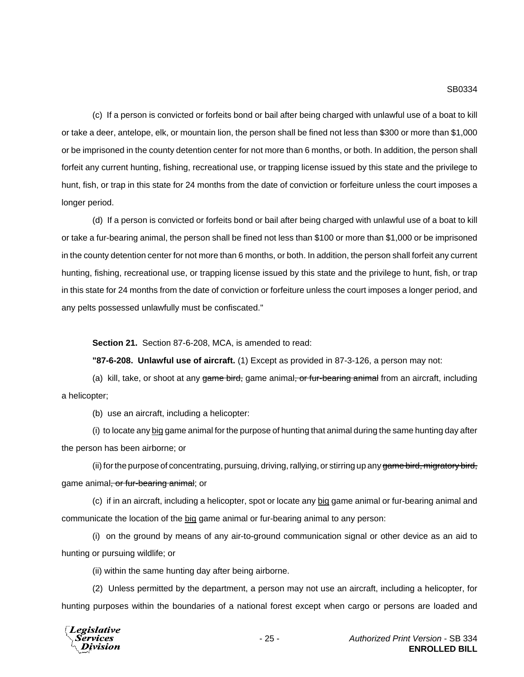(c) If a person is convicted or forfeits bond or bail after being charged with unlawful use of a boat to kill or take a deer, antelope, elk, or mountain lion, the person shall be fined not less than \$300 or more than \$1,000 or be imprisoned in the county detention center for not more than 6 months, or both. In addition, the person shall forfeit any current hunting, fishing, recreational use, or trapping license issued by this state and the privilege to hunt, fish, or trap in this state for 24 months from the date of conviction or forfeiture unless the court imposes a longer period.

(d) If a person is convicted or forfeits bond or bail after being charged with unlawful use of a boat to kill or take a fur-bearing animal, the person shall be fined not less than \$100 or more than \$1,000 or be imprisoned in the county detention center for not more than 6 months, or both. In addition, the person shall forfeit any current hunting, fishing, recreational use, or trapping license issued by this state and the privilege to hunt, fish, or trap in this state for 24 months from the date of conviction or forfeiture unless the court imposes a longer period, and any pelts possessed unlawfully must be confiscated."

**Section 21.** Section 87-6-208, MCA, is amended to read:

**"87-6-208. Unlawful use of aircraft.** (1) Except as provided in 87-3-126, a person may not:

(a) kill, take, or shoot at any game bird, game animal, or fur-bearing animal from an aircraft, including a helicopter;

(b) use an aircraft, including a helicopter:

(i) to locate any big game animal for the purpose of hunting that animal during the same hunting day after the person has been airborne; or

(ii) for the purpose of concentrating, pursuing, driving, rallying, or stirring up any game bird, migratory bird, game animal<del>, or fur-bearing animal</del>; or

(c) if in an aircraft, including a helicopter, spot or locate any big game animal or fur-bearing animal and communicate the location of the big game animal or fur-bearing animal to any person:

(i) on the ground by means of any air-to-ground communication signal or other device as an aid to hunting or pursuing wildlife; or

(ii) within the same hunting day after being airborne.

(2) Unless permitted by the department, a person may not use an aircraft, including a helicopter, for hunting purposes within the boundaries of a national forest except when cargo or persons are loaded and



- 25 - *Authorized Print Version* - SB 334 **ENROLLED BILL**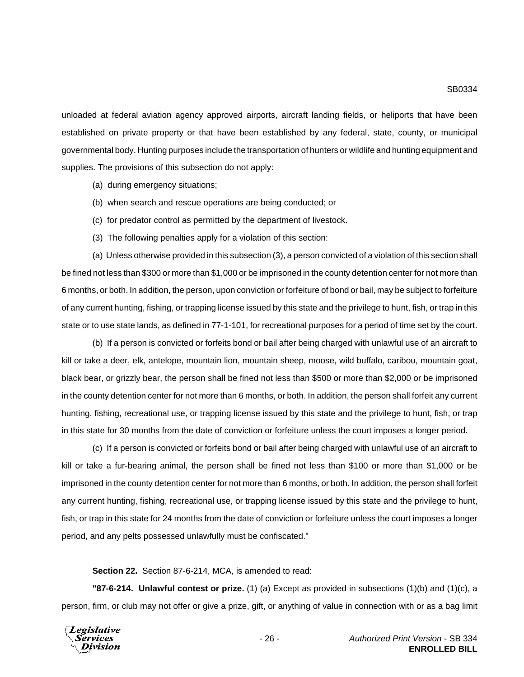unloaded at federal aviation agency approved airports, aircraft landing fields, or heliports that have been established on private property or that have been established by any federal, state, county, or municipal governmental body. Hunting purposes include the transportation of hunters or wildlife and hunting equipment and supplies. The provisions of this subsection do not apply:

- (a) during emergency situations;
- (b) when search and rescue operations are being conducted; or
- (c) for predator control as permitted by the department of livestock.
- (3) The following penalties apply for a violation of this section:

(a) Unless otherwise provided in this subsection (3), a person convicted of a violation of this section shall be fined not less than \$300 or more than \$1,000 or be imprisoned in the county detention center for not more than 6 months, or both. In addition, the person, upon conviction or forfeiture of bond or bail, may be subject to forfeiture of any current hunting, fishing, or trapping license issued by this state and the privilege to hunt, fish, or trap in this state or to use state lands, as defined in 77-1-101, for recreational purposes for a period of time set by the court.

(b) If a person is convicted or forfeits bond or bail after being charged with unlawful use of an aircraft to kill or take a deer, elk, antelope, mountain lion, mountain sheep, moose, wild buffalo, caribou, mountain goat, black bear, or grizzly bear, the person shall be fined not less than \$500 or more than \$2,000 or be imprisoned in the county detention center for not more than 6 months, or both. In addition, the person shall forfeit any current hunting, fishing, recreational use, or trapping license issued by this state and the privilege to hunt, fish, or trap in this state for 30 months from the date of conviction or forfeiture unless the court imposes a longer period.

(c) If a person is convicted or forfeits bond or bail after being charged with unlawful use of an aircraft to kill or take a fur-bearing animal, the person shall be fined not less than \$100 or more than \$1,000 or be imprisoned in the county detention center for not more than 6 months, or both. In addition, the person shall forfeit any current hunting, fishing, recreational use, or trapping license issued by this state and the privilege to hunt, fish, or trap in this state for 24 months from the date of conviction or forfeiture unless the court imposes a longer period, and any pelts possessed unlawfully must be confiscated."

**Section 22.** Section 87-6-214, MCA, is amended to read:

**"87-6-214. Unlawful contest or prize.** (1) (a) Except as provided in subsections (1)(b) and (1)(c), a person, firm, or club may not offer or give a prize, gift, or anything of value in connection with or as a bag limit

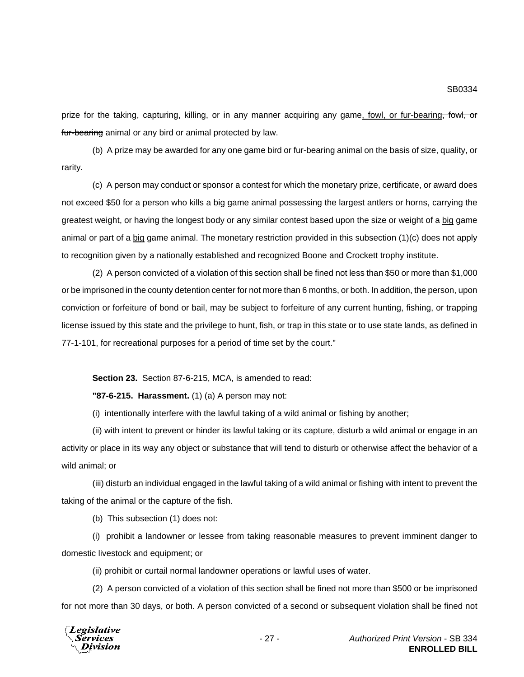prize for the taking, capturing, killing, or in any manner acquiring any game, fowl, or fur-bearing, fowl, or fur-bearing animal or any bird or animal protected by law.

(b) A prize may be awarded for any one game bird or fur-bearing animal on the basis of size, quality, or rarity.

(c) A person may conduct or sponsor a contest for which the monetary prize, certificate, or award does not exceed \$50 for a person who kills a big game animal possessing the largest antlers or horns, carrying the greatest weight, or having the longest body or any similar contest based upon the size or weight of a big game animal or part of a big game animal. The monetary restriction provided in this subsection (1)(c) does not apply to recognition given by a nationally established and recognized Boone and Crockett trophy institute.

(2) A person convicted of a violation of this section shall be fined not less than \$50 or more than \$1,000 or be imprisoned in the county detention center for not more than 6 months, or both. In addition, the person, upon conviction or forfeiture of bond or bail, may be subject to forfeiture of any current hunting, fishing, or trapping license issued by this state and the privilege to hunt, fish, or trap in this state or to use state lands, as defined in 77-1-101, for recreational purposes for a period of time set by the court."

**Section 23.** Section 87-6-215, MCA, is amended to read:

**"87-6-215. Harassment.** (1) (a) A person may not:

(i) intentionally interfere with the lawful taking of a wild animal or fishing by another;

(ii) with intent to prevent or hinder its lawful taking or its capture, disturb a wild animal or engage in an activity or place in its way any object or substance that will tend to disturb or otherwise affect the behavior of a wild animal; or

(iii) disturb an individual engaged in the lawful taking of a wild animal or fishing with intent to prevent the taking of the animal or the capture of the fish.

(b) This subsection (1) does not:

(i) prohibit a landowner or lessee from taking reasonable measures to prevent imminent danger to domestic livestock and equipment; or

(ii) prohibit or curtail normal landowner operations or lawful uses of water.

(2) A person convicted of a violation of this section shall be fined not more than \$500 or be imprisoned for not more than 30 days, or both. A person convicted of a second or subsequent violation shall be fined not

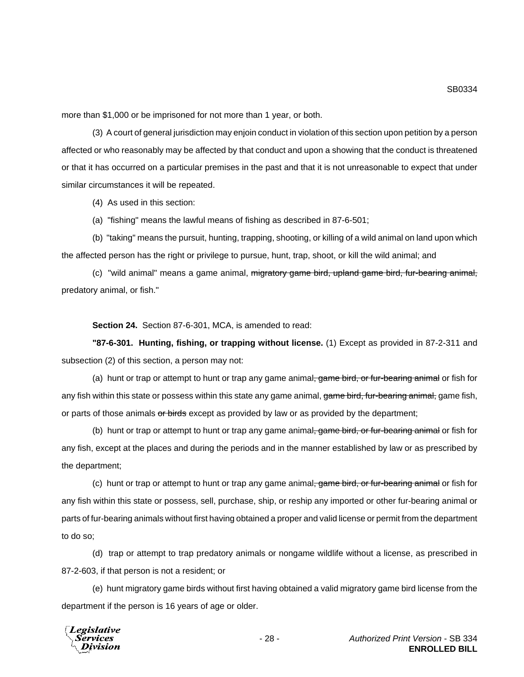more than \$1,000 or be imprisoned for not more than 1 year, or both.

(3) A court of general jurisdiction may enjoin conduct in violation of this section upon petition by a person affected or who reasonably may be affected by that conduct and upon a showing that the conduct is threatened or that it has occurred on a particular premises in the past and that it is not unreasonable to expect that under similar circumstances it will be repeated.

(4) As used in this section:

(a) "fishing" means the lawful means of fishing as described in 87-6-501;

(b) "taking" means the pursuit, hunting, trapping, shooting, or killing of a wild animal on land upon which the affected person has the right or privilege to pursue, hunt, trap, shoot, or kill the wild animal; and

(c) "wild animal" means a game animal, migratory game bird, upland game bird, fur-bearing animal, predatory animal, or fish."

**Section 24.** Section 87-6-301, MCA, is amended to read:

**"87-6-301. Hunting, fishing, or trapping without license.** (1) Except as provided in 87-2-311 and subsection (2) of this section, a person may not:

(a) hunt or trap or attempt to hunt or trap any game animal<del>, game bird, or fur-bearing animal</del> or fish for any fish within this state or possess within this state any game animal, game bird, fur-bearing animal, game fish, or parts of those animals or birds except as provided by law or as provided by the department;

(b) hunt or trap or attempt to hunt or trap any game animal, game bird, or fur-bearing animal or fish for any fish, except at the places and during the periods and in the manner established by law or as prescribed by the department;

(c) hunt or trap or attempt to hunt or trap any game animal, game bird, or fur-bearing animal or fish for any fish within this state or possess, sell, purchase, ship, or reship any imported or other fur-bearing animal or parts of fur-bearing animals without first having obtained a proper and valid license or permit from the department to do so;

(d) trap or attempt to trap predatory animals or nongame wildlife without a license, as prescribed in 87-2-603, if that person is not a resident; or

(e) hunt migratory game birds without first having obtained a valid migratory game bird license from the department if the person is 16 years of age or older.

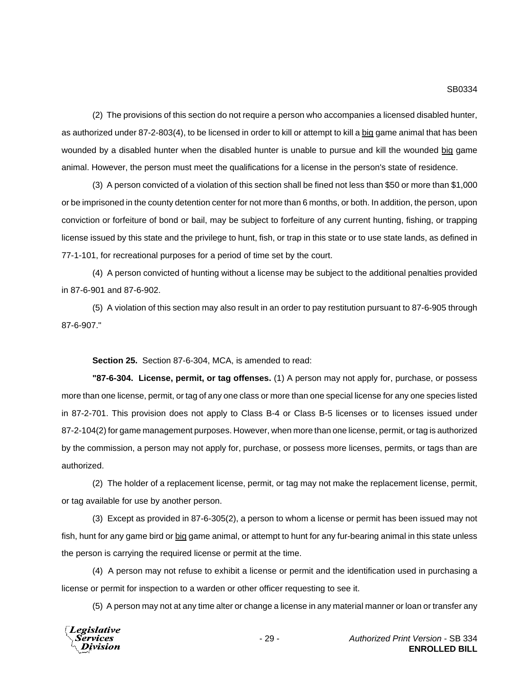(2) The provisions of this section do not require a person who accompanies a licensed disabled hunter, as authorized under 87-2-803(4), to be licensed in order to kill or attempt to kill a big game animal that has been wounded by a disabled hunter when the disabled hunter is unable to pursue and kill the wounded big game animal. However, the person must meet the qualifications for a license in the person's state of residence.

(3) A person convicted of a violation of this section shall be fined not less than \$50 or more than \$1,000 or be imprisoned in the county detention center for not more than 6 months, or both. In addition, the person, upon conviction or forfeiture of bond or bail, may be subject to forfeiture of any current hunting, fishing, or trapping license issued by this state and the privilege to hunt, fish, or trap in this state or to use state lands, as defined in 77-1-101, for recreational purposes for a period of time set by the court.

(4) A person convicted of hunting without a license may be subject to the additional penalties provided in 87-6-901 and 87-6-902.

(5) A violation of this section may also result in an order to pay restitution pursuant to 87-6-905 through 87-6-907."

**Section 25.** Section 87-6-304, MCA, is amended to read:

**"87-6-304. License, permit, or tag offenses.** (1) A person may not apply for, purchase, or possess more than one license, permit, or tag of any one class or more than one special license for any one species listed in 87-2-701. This provision does not apply to Class B-4 or Class B-5 licenses or to licenses issued under 87-2-104(2) for game management purposes. However, when more than one license, permit, or tag is authorized by the commission, a person may not apply for, purchase, or possess more licenses, permits, or tags than are authorized.

(2) The holder of a replacement license, permit, or tag may not make the replacement license, permit, or tag available for use by another person.

(3) Except as provided in 87-6-305(2), a person to whom a license or permit has been issued may not fish, hunt for any game bird or big game animal, or attempt to hunt for any fur-bearing animal in this state unless the person is carrying the required license or permit at the time.

(4) A person may not refuse to exhibit a license or permit and the identification used in purchasing a license or permit for inspection to a warden or other officer requesting to see it.

(5) A person may not at any time alter or change a license in any material manner or loan or transfer any

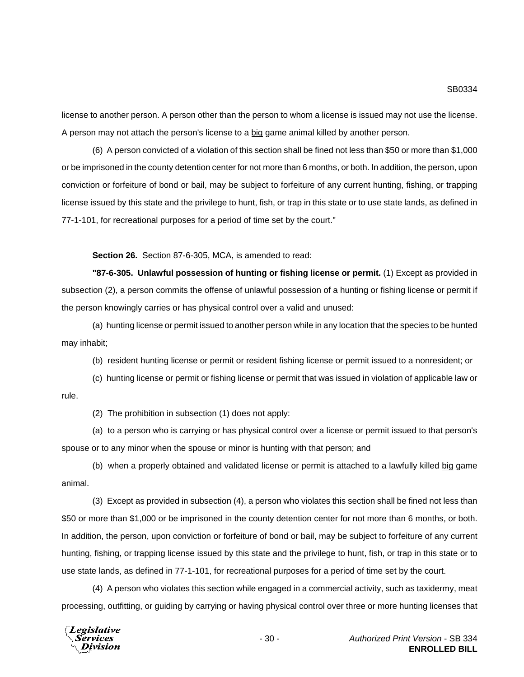license to another person. A person other than the person to whom a license is issued may not use the license. A person may not attach the person's license to a big game animal killed by another person.

(6) A person convicted of a violation of this section shall be fined not less than \$50 or more than \$1,000 or be imprisoned in the county detention center for not more than 6 months, or both. In addition, the person, upon conviction or forfeiture of bond or bail, may be subject to forfeiture of any current hunting, fishing, or trapping license issued by this state and the privilege to hunt, fish, or trap in this state or to use state lands, as defined in 77-1-101, for recreational purposes for a period of time set by the court."

**Section 26.** Section 87-6-305, MCA, is amended to read:

**"87-6-305. Unlawful possession of hunting or fishing license or permit.** (1) Except as provided in subsection (2), a person commits the offense of unlawful possession of a hunting or fishing license or permit if the person knowingly carries or has physical control over a valid and unused:

(a) hunting license or permit issued to another person while in any location that the species to be hunted may inhabit;

(b) resident hunting license or permit or resident fishing license or permit issued to a nonresident; or

(c) hunting license or permit or fishing license or permit that was issued in violation of applicable law or rule.

(2) The prohibition in subsection (1) does not apply:

(a) to a person who is carrying or has physical control over a license or permit issued to that person's spouse or to any minor when the spouse or minor is hunting with that person; and

(b) when a properly obtained and validated license or permit is attached to a lawfully killed big game animal.

(3) Except as provided in subsection (4), a person who violates this section shall be fined not less than \$50 or more than \$1,000 or be imprisoned in the county detention center for not more than 6 months, or both. In addition, the person, upon conviction or forfeiture of bond or bail, may be subject to forfeiture of any current hunting, fishing, or trapping license issued by this state and the privilege to hunt, fish, or trap in this state or to use state lands, as defined in 77-1-101, for recreational purposes for a period of time set by the court.

(4) A person who violates this section while engaged in a commercial activity, such as taxidermy, meat processing, outfitting, or guiding by carrying or having physical control over three or more hunting licenses that

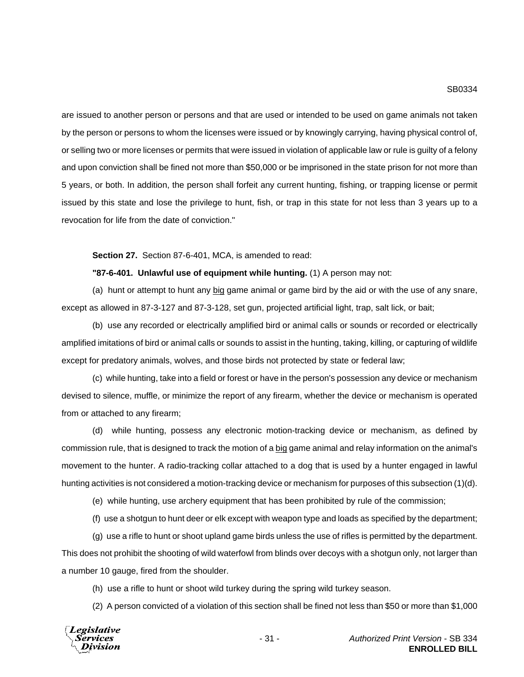are issued to another person or persons and that are used or intended to be used on game animals not taken by the person or persons to whom the licenses were issued or by knowingly carrying, having physical control of, or selling two or more licenses or permits that were issued in violation of applicable law or rule is guilty of a felony and upon conviction shall be fined not more than \$50,000 or be imprisoned in the state prison for not more than 5 years, or both. In addition, the person shall forfeit any current hunting, fishing, or trapping license or permit issued by this state and lose the privilege to hunt, fish, or trap in this state for not less than 3 years up to a revocation for life from the date of conviction."

#### **Section 27.** Section 87-6-401, MCA, is amended to read:

#### **"87-6-401. Unlawful use of equipment while hunting.** (1) A person may not:

(a) hunt or attempt to hunt any big game animal or game bird by the aid or with the use of any snare, except as allowed in 87-3-127 and 87-3-128, set gun, projected artificial light, trap, salt lick, or bait;

(b) use any recorded or electrically amplified bird or animal calls or sounds or recorded or electrically amplified imitations of bird or animal calls or sounds to assist in the hunting, taking, killing, or capturing of wildlife except for predatory animals, wolves, and those birds not protected by state or federal law;

(c) while hunting, take into a field or forest or have in the person's possession any device or mechanism devised to silence, muffle, or minimize the report of any firearm, whether the device or mechanism is operated from or attached to any firearm;

(d) while hunting, possess any electronic motion-tracking device or mechanism, as defined by commission rule, that is designed to track the motion of a big game animal and relay information on the animal's movement to the hunter. A radio-tracking collar attached to a dog that is used by a hunter engaged in lawful hunting activities is not considered a motion-tracking device or mechanism for purposes of this subsection (1)(d).

(e) while hunting, use archery equipment that has been prohibited by rule of the commission;

(f) use a shotgun to hunt deer or elk except with weapon type and loads as specified by the department;

(g) use a rifle to hunt or shoot upland game birds unless the use of rifles is permitted by the department. This does not prohibit the shooting of wild waterfowl from blinds over decoys with a shotgun only, not larger than a number 10 gauge, fired from the shoulder.

(h) use a rifle to hunt or shoot wild turkey during the spring wild turkey season.

(2) A person convicted of a violation of this section shall be fined not less than \$50 or more than \$1,000



- 31 - *Authorized Print Version* - SB 334 **ENROLLED BILL**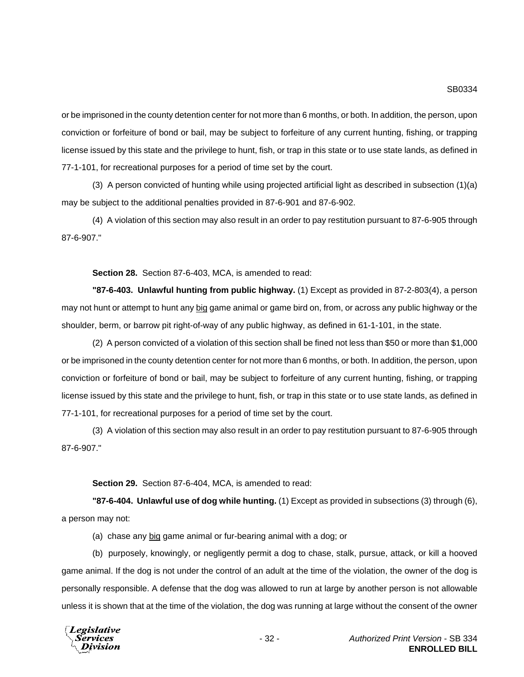or be imprisoned in the county detention center for not more than 6 months, or both. In addition, the person, upon conviction or forfeiture of bond or bail, may be subject to forfeiture of any current hunting, fishing, or trapping license issued by this state and the privilege to hunt, fish, or trap in this state or to use state lands, as defined in 77-1-101, for recreational purposes for a period of time set by the court.

(3) A person convicted of hunting while using projected artificial light as described in subsection (1)(a) may be subject to the additional penalties provided in 87-6-901 and 87-6-902.

(4) A violation of this section may also result in an order to pay restitution pursuant to 87-6-905 through 87-6-907."

**Section 28.** Section 87-6-403, MCA, is amended to read:

**"87-6-403. Unlawful hunting from public highway.** (1) Except as provided in 87-2-803(4), a person may not hunt or attempt to hunt any big game animal or game bird on, from, or across any public highway or the shoulder, berm, or barrow pit right-of-way of any public highway, as defined in 61-1-101, in the state.

(2) A person convicted of a violation of this section shall be fined not less than \$50 or more than \$1,000 or be imprisoned in the county detention center for not more than 6 months, or both. In addition, the person, upon conviction or forfeiture of bond or bail, may be subject to forfeiture of any current hunting, fishing, or trapping license issued by this state and the privilege to hunt, fish, or trap in this state or to use state lands, as defined in 77-1-101, for recreational purposes for a period of time set by the court.

(3) A violation of this section may also result in an order to pay restitution pursuant to 87-6-905 through 87-6-907."

**Section 29.** Section 87-6-404, MCA, is amended to read:

**"87-6-404. Unlawful use of dog while hunting.** (1) Except as provided in subsections (3) through (6), a person may not:

(a) chase any big game animal or fur-bearing animal with a dog; or

(b) purposely, knowingly, or negligently permit a dog to chase, stalk, pursue, attack, or kill a hooved game animal. If the dog is not under the control of an adult at the time of the violation, the owner of the dog is personally responsible. A defense that the dog was allowed to run at large by another person is not allowable unless it is shown that at the time of the violation, the dog was running at large without the consent of the owner

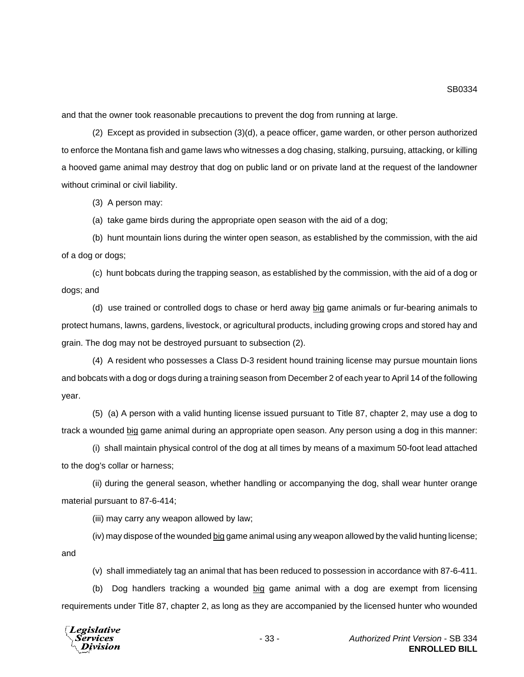and that the owner took reasonable precautions to prevent the dog from running at large.

(2) Except as provided in subsection (3)(d), a peace officer, game warden, or other person authorized to enforce the Montana fish and game laws who witnesses a dog chasing, stalking, pursuing, attacking, or killing a hooved game animal may destroy that dog on public land or on private land at the request of the landowner without criminal or civil liability.

(3) A person may:

(a) take game birds during the appropriate open season with the aid of a dog;

(b) hunt mountain lions during the winter open season, as established by the commission, with the aid of a dog or dogs;

(c) hunt bobcats during the trapping season, as established by the commission, with the aid of a dog or dogs; and

(d) use trained or controlled dogs to chase or herd away big game animals or fur-bearing animals to protect humans, lawns, gardens, livestock, or agricultural products, including growing crops and stored hay and grain. The dog may not be destroyed pursuant to subsection (2).

(4) A resident who possesses a Class D-3 resident hound training license may pursue mountain lions and bobcats with a dog or dogs during a training season from December 2 of each year to April 14 of the following year.

(5) (a) A person with a valid hunting license issued pursuant to Title 87, chapter 2, may use a dog to track a wounded big game animal during an appropriate open season. Any person using a dog in this manner:

(i) shall maintain physical control of the dog at all times by means of a maximum 50-foot lead attached to the dog's collar or harness;

(ii) during the general season, whether handling or accompanying the dog, shall wear hunter orange material pursuant to 87-6-414;

(iii) may carry any weapon allowed by law;

(iv) may dispose of the wounded big game animal using any weapon allowed by the valid hunting license; and

(v) shall immediately tag an animal that has been reduced to possession in accordance with 87-6-411.

(b) Dog handlers tracking a wounded big game animal with a dog are exempt from licensing requirements under Title 87, chapter 2, as long as they are accompanied by the licensed hunter who wounded

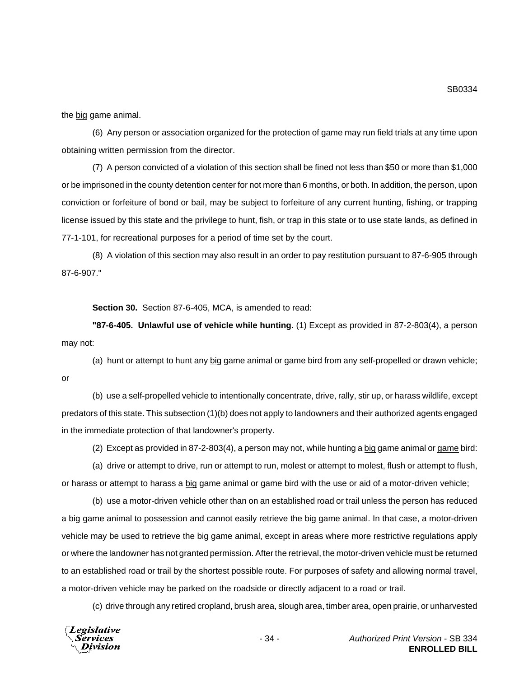the big game animal.

(6) Any person or association organized for the protection of game may run field trials at any time upon obtaining written permission from the director.

(7) A person convicted of a violation of this section shall be fined not less than \$50 or more than \$1,000 or be imprisoned in the county detention center for not more than 6 months, or both. In addition, the person, upon conviction or forfeiture of bond or bail, may be subject to forfeiture of any current hunting, fishing, or trapping license issued by this state and the privilege to hunt, fish, or trap in this state or to use state lands, as defined in 77-1-101, for recreational purposes for a period of time set by the court.

(8) A violation of this section may also result in an order to pay restitution pursuant to 87-6-905 through 87-6-907."

**Section 30.** Section 87-6-405, MCA, is amended to read:

**"87-6-405. Unlawful use of vehicle while hunting.** (1) Except as provided in 87-2-803(4), a person may not:

(a) hunt or attempt to hunt any big game animal or game bird from any self-propelled or drawn vehicle; or

(b) use a self-propelled vehicle to intentionally concentrate, drive, rally, stir up, or harass wildlife, except predators of this state. This subsection (1)(b) does not apply to landowners and their authorized agents engaged in the immediate protection of that landowner's property.

(2) Except as provided in 87-2-803(4), a person may not, while hunting a big game animal or game bird:

(a) drive or attempt to drive, run or attempt to run, molest or attempt to molest, flush or attempt to flush, or harass or attempt to harass a big game animal or game bird with the use or aid of a motor-driven vehicle;

(b) use a motor-driven vehicle other than on an established road or trail unless the person has reduced a big game animal to possession and cannot easily retrieve the big game animal. In that case, a motor-driven vehicle may be used to retrieve the big game animal, except in areas where more restrictive regulations apply or where the landowner has not granted permission. After the retrieval, the motor-driven vehicle must be returned to an established road or trail by the shortest possible route. For purposes of safety and allowing normal travel, a motor-driven vehicle may be parked on the roadside or directly adjacent to a road or trail.

(c) drive through any retired cropland, brush area, slough area, timber area, open prairie, or unharvested

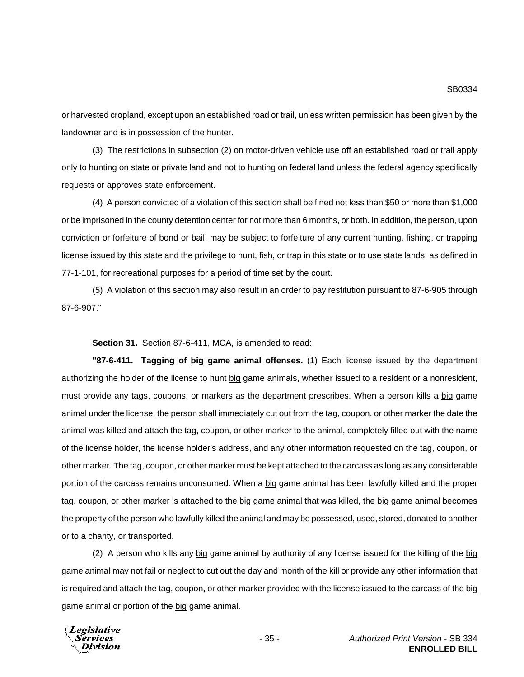or harvested cropland, except upon an established road or trail, unless written permission has been given by the landowner and is in possession of the hunter.

(3) The restrictions in subsection (2) on motor-driven vehicle use off an established road or trail apply only to hunting on state or private land and not to hunting on federal land unless the federal agency specifically requests or approves state enforcement.

(4) A person convicted of a violation of this section shall be fined not less than \$50 or more than \$1,000 or be imprisoned in the county detention center for not more than 6 months, or both. In addition, the person, upon conviction or forfeiture of bond or bail, may be subject to forfeiture of any current hunting, fishing, or trapping license issued by this state and the privilege to hunt, fish, or trap in this state or to use state lands, as defined in 77-1-101, for recreational purposes for a period of time set by the court.

(5) A violation of this section may also result in an order to pay restitution pursuant to 87-6-905 through 87-6-907."

**Section 31.** Section 87-6-411, MCA, is amended to read:

**"87-6-411. Tagging of big game animal offenses.** (1) Each license issued by the department authorizing the holder of the license to hunt big game animals, whether issued to a resident or a nonresident, must provide any tags, coupons, or markers as the department prescribes. When a person kills a big game animal under the license, the person shall immediately cut out from the tag, coupon, or other marker the date the animal was killed and attach the tag, coupon, or other marker to the animal, completely filled out with the name of the license holder, the license holder's address, and any other information requested on the tag, coupon, or other marker. The tag, coupon, or other marker must be kept attached to the carcass as long as any considerable portion of the carcass remains unconsumed. When a big game animal has been lawfully killed and the proper tag, coupon, or other marker is attached to the big game animal that was killed, the big game animal becomes the property of the person who lawfully killed the animal and may be possessed, used, stored, donated to another or to a charity, or transported.

(2) A person who kills any big game animal by authority of any license issued for the killing of the big game animal may not fail or neglect to cut out the day and month of the kill or provide any other information that is required and attach the tag, coupon, or other marker provided with the license issued to the carcass of the big game animal or portion of the big game animal.

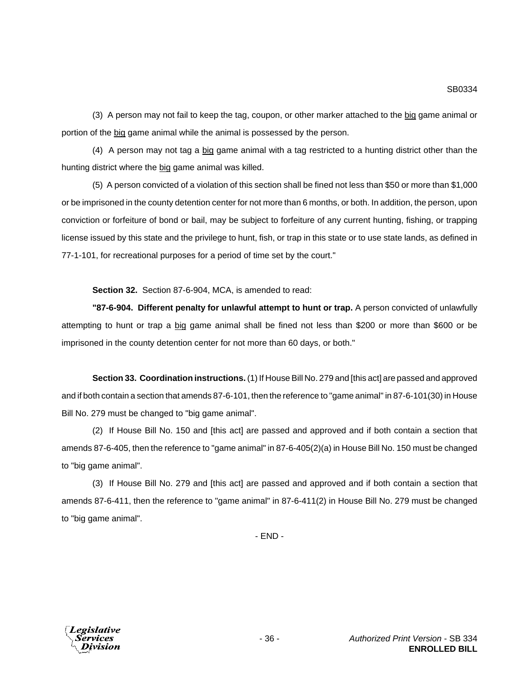(3) A person may not fail to keep the tag, coupon, or other marker attached to the big game animal or portion of the big game animal while the animal is possessed by the person.

(4) A person may not tag a big game animal with a tag restricted to a hunting district other than the hunting district where the big game animal was killed.

(5) A person convicted of a violation of this section shall be fined not less than \$50 or more than \$1,000 or be imprisoned in the county detention center for not more than 6 months, or both. In addition, the person, upon conviction or forfeiture of bond or bail, may be subject to forfeiture of any current hunting, fishing, or trapping license issued by this state and the privilege to hunt, fish, or trap in this state or to use state lands, as defined in 77-1-101, for recreational purposes for a period of time set by the court."

**Section 32.** Section 87-6-904, MCA, is amended to read:

**"87-6-904. Different penalty for unlawful attempt to hunt or trap.** A person convicted of unlawfully attempting to hunt or trap a big game animal shall be fined not less than \$200 or more than \$600 or be imprisoned in the county detention center for not more than 60 days, or both."

**Section 33. Coordination instructions.** (1) If House Bill No. 279 and [this act] are passed and approved and if both contain a section that amends 87-6-101, then the reference to "game animal" in 87-6-101(30) in House Bill No. 279 must be changed to "big game animal".

(2) If House Bill No. 150 and [this act] are passed and approved and if both contain a section that amends 87-6-405, then the reference to "game animal" in 87-6-405(2)(a) in House Bill No. 150 must be changed to "big game animal".

(3) If House Bill No. 279 and [this act] are passed and approved and if both contain a section that amends 87-6-411, then the reference to "game animal" in 87-6-411(2) in House Bill No. 279 must be changed to "big game animal".

- END -

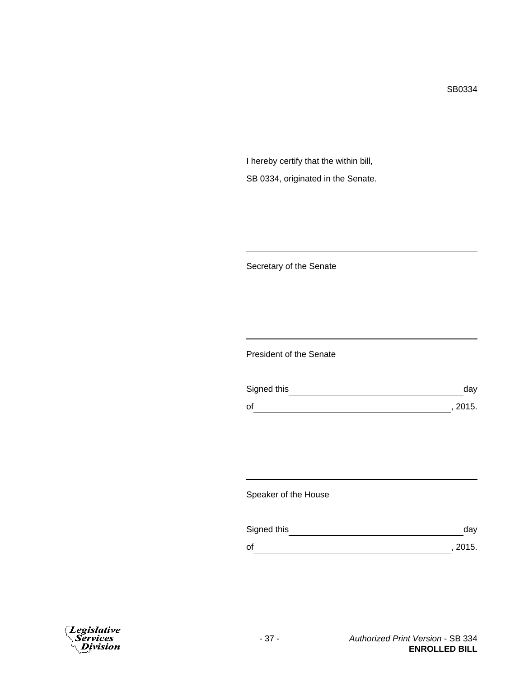I hereby certify that the within bill, SB 0334, originated in the Senate.

Secretary of the Senate

President of the Senate

| Signed this | dav     |
|-------------|---------|
| of          | , 2015. |

Speaker of the House

| Signed this | dav     |
|-------------|---------|
| οf          | , 2015. |